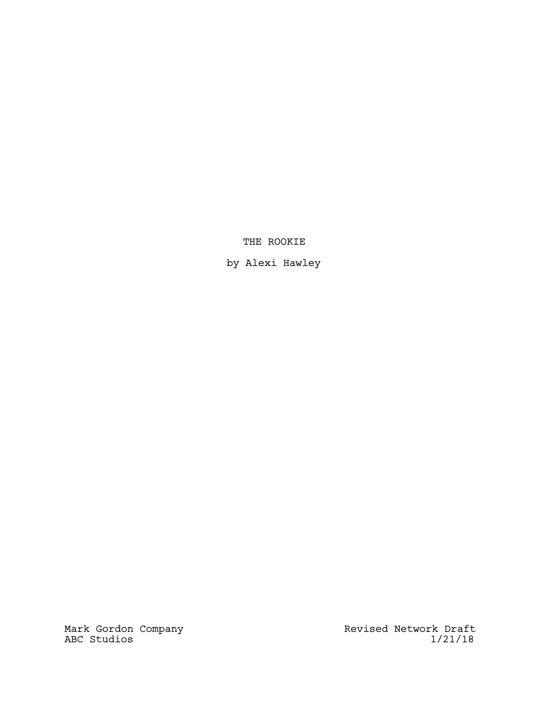# THE ROOKIE

by Alexi Hawley

Mark Gordon Company **Revised Network Draft** ABC Studios 1/21/18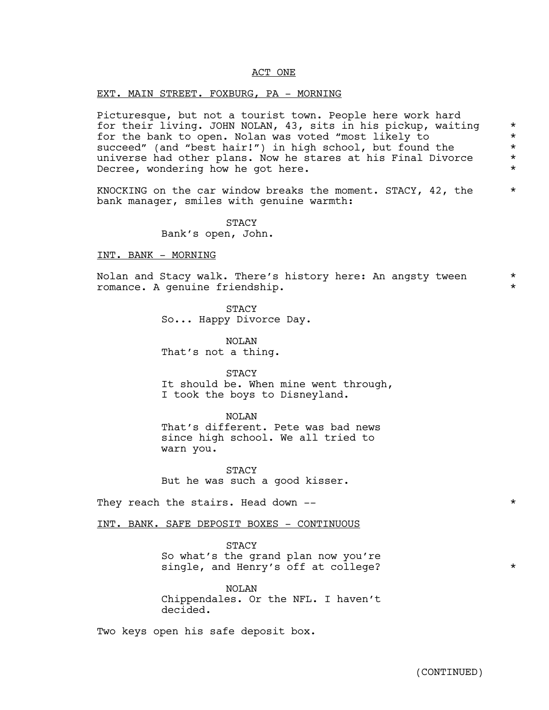#### ACT ONE

#### EXT. MAIN STREET. FOXBURG, PA - MORNING

Picturesque, but not a tourist town. People here work hard for their living. JOHN NOLAN, 43, sits in his pickup, waiting \* for the bank to open. Nolan was voted "most likely to \* succeed" (and "best hair!") in high school, but found the \* universe had other plans. Now he stares at his Final Divorce \* Decree, wondering how he got here.  $*$ 

KNOCKING on the car window breaks the moment. STACY, 42, the  $*$ bank manager, smiles with genuine warmth:

> STACY Bank's open, John.

#### INT. BANK - MORNING

Nolan and Stacy walk. There's history here: An angsty tween  $*$ romance. A genuine friendship. \*

> STACY So... Happy Divorce Day.

NOLAN That's not a thing.

STACY It should be. When mine went through, I took the boys to Disneyland.

NOLAN That's different. Pete was bad news since high school. We all tried to warn you.

STACY But he was such a good kisser.

They reach the stairs. Head down --  $*$ 

INT. BANK. SAFE DEPOSIT BOXES - CONTINUOUS

**STACY** So what's the grand plan now you're single, and Henry's off at college?

NOLAN Chippendales. Or the NFL. I haven't decided.

Two keys open his safe deposit box.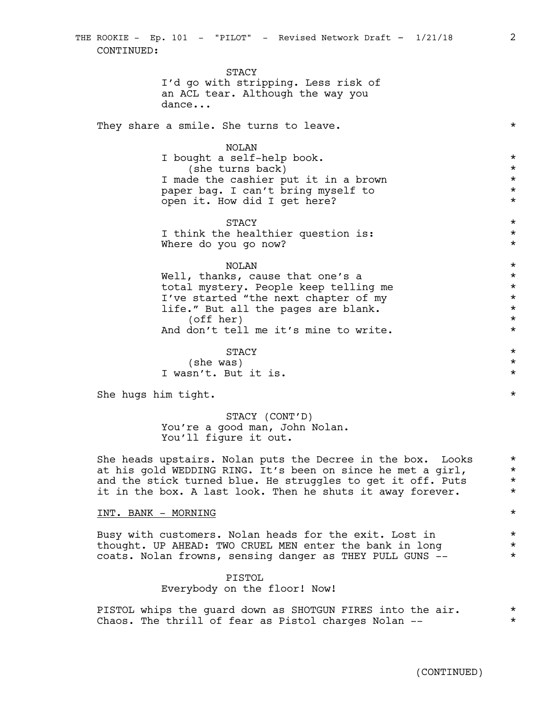STACY I'd go with stripping. Less risk of an ACL tear. Although the way you dance...

They share a smile. She turns to leave.  $\star$ 

#### NOLAN

I bought a self-help book. \* (she turns back)  $\star$ I made the cashier put it in a brown  $*$ paper bag. I can't bring myself to \* open it. How did I get here?  $*$ 

 $\texttt{STACY}$  \* I think the healthier question is:  $*$ Where do you go now?  $*$ 

# NOLAN \*

Well, thanks, cause that one's a  $*$ total mystery. People keep telling me \* I've started "the next chapter of my  $*$ life." But all the pages are blank.  $\star$ (off her) \*<br>don't tell me it's mine to write. \* \* \* \* \* And don't tell me it's mine to write.

 $\texttt{STACY}$  \*

(she was)  $*$ I wasn't. But it is.  $\star$ 

She hugs him tight.  $\star$ 

STACY (CONT'D) You're a good man, John Nolan. You'll figure it out.

She heads upstairs. Nolan puts the Decree in the box. Looks  $*$ at his gold WEDDING RING. It's been on since he met a girl,  $*$ and the stick turned blue. He struggles to get it off. Puts  $*$ it in the box. A last look. Then he shuts it away forever.  $*$ 

#### INT. BANK - MORNING \*

Busy with customers. Nolan heads for the exit. Lost in  $*$ thought. UP AHEAD: TWO CRUEL MEN enter the bank in long  $*$ coats. Nolan frowns, sensing danger as THEY PULL GUNS -- \*

#### PISTOL

Everybody on the floor! Now!

PISTOL whips the guard down as SHOTGUN FIRES into the air.  $*$ Chaos. The thrill of fear as Pistol charges Nolan --  $*$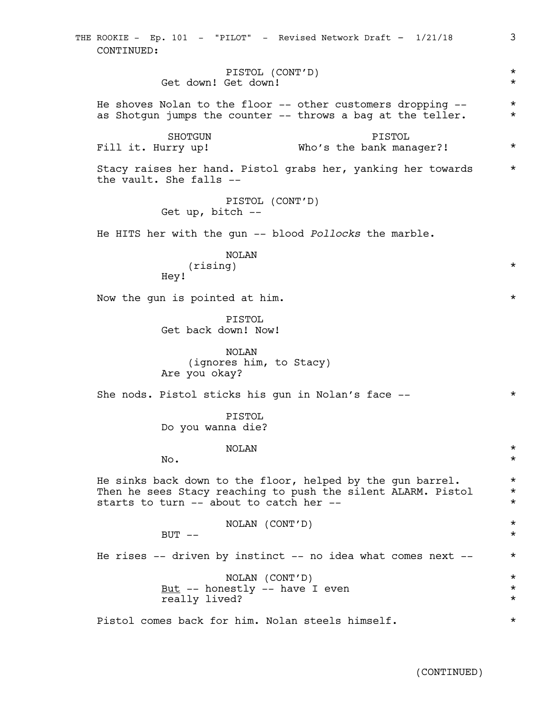PISTOL (CONT'D) \* Get down! Get down! He shoves Nolan to the floor  $-$  other customers dropping  $-$  \* as Shotqun jumps the counter  $-$  throws a bag at the teller.  $*$ SHOTGUN Fill it. Hurry up! PISTOL Who's the bank manager?! Stacy raises her hand. Pistol grabs her, yanking her towards \* the vault. She falls -- PISTOL (CONT'D) Get up, bitch -- He HITS her with the gun -- blood *Pollocks* the marble. NOLAN (rising) \* Hey! Now the gun is pointed at him.  $\star$ PISTOL Get back down! Now! NOLAN (ignores him, to Stacy) Are you okay? She nods. Pistol sticks his gun in Nolan's face -- \* PISTOL Do you wanna die? NOLAN \*  $\mathbb{N}$ o.  $\star$ He sinks back down to the floor, helped by the gun barrel.  $*$ Then he sees Stacy reaching to push the silent ALARM. Pistol \* starts to turn -- about to catch her --  $*$ NOLAN (CONT'D) \*  $\text{BUT}$  --  $\star$ He rises  $--$  driven by instinct  $--$  no idea what comes next  $--$  \* NOLAN (CONT'D) \*  $\frac{But}{ }$  -- honestly -- have I even  $*$ really lived?  $\qquad \qquad \star$ Pistol comes back for him. Nolan steels himself.  $*$ THE ROOKIE - Ep. 101 - "PILOT" - Revised Network Draft - 1/21/18 3 CONTINUED: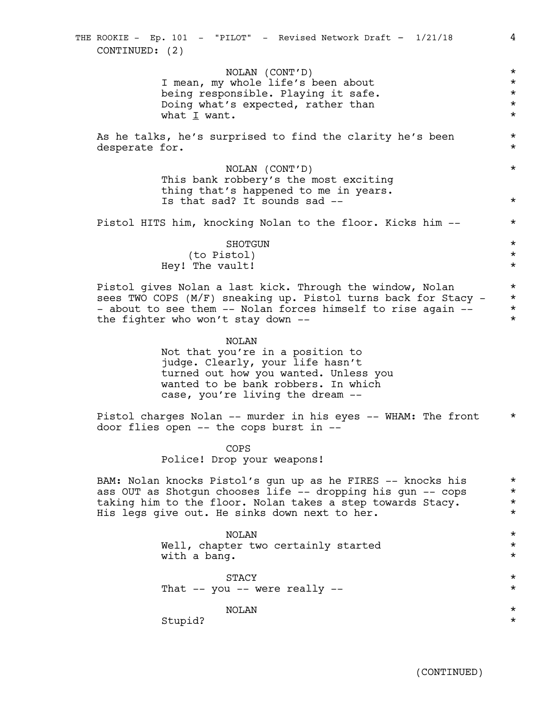NOLAN (CONT'D) \* I mean, my whole life's been about \*<br>
being responsible. Playing it safe. \* \* \* being responsible. Playing it safe. \* Doing what's expected, rather than  $\star$ <br>what I want. what I want. As he talks, he's surprised to find the clarity he's been \* desperate for.  $\star$ NOLAN (CONT'D) \* This bank robbery's the most exciting thing that's happened to me in years. Is that sad? It sounds sad --  $\star$ Pistol HITS him, knocking Nolan to the floor. Kicks him -- \* SHOTGUN  $\qquad$ (to Pistol) \* Hey! The vault! Pistol gives Nolan a last kick. Through the window, Nolan  $*$ sees TWO COPS (M/F) sneaking up. Pistol turns back for Stacy - \* - about to see them -- Nolan forces himself to rise again --  $*$ <br>the fighter who won't stay down -the fighter who won't stay down  $-$ NOLAN Not that you're in a position to judge. Clearly, your life hasn't turned out how you wanted. Unless you wanted to be bank robbers. In which case, you're living the dream -- Pistol charges Nolan -- murder in his eyes -- WHAM: The front  $*$ door flies open -- the cops burst in -- COPS Police! Drop your weapons! BAM: Nolan knocks Pistol's gun up as he FIRES -- knocks his \* ass OUT as Shotgun chooses life -- dropping his gun -- cops \* taking him to the floor. Nolan takes a step towards Stacy. \* \* His legs give out. He sinks down next to her. NOLAN \* Well, chapter two certainly started  $*$ with a bang.  $\star$  $\texttt{STACY}$  \* That  $--$  you  $--$  were really  $--$  \* NOLAN \* Stupid? \* THE ROOKIE - Ep. 101 - "PILOT" - Revised Network Draft - 1/21/18 4 CONTINUED: (2)

(CONTINUED)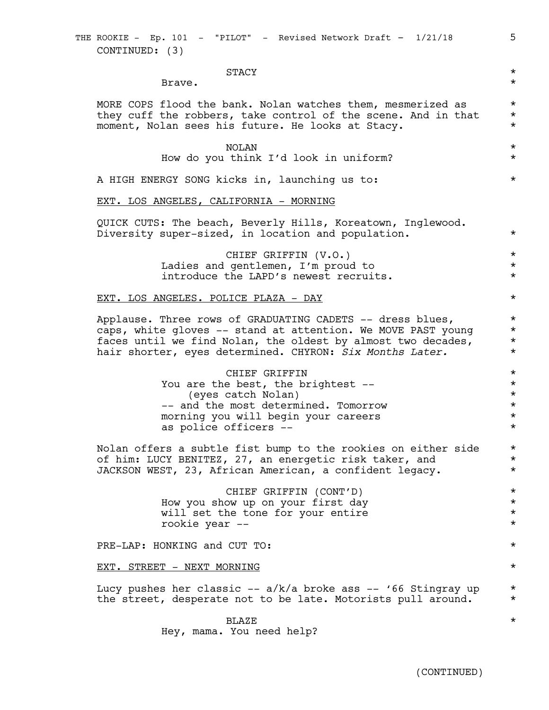$\texttt{STACY}$  \*

Brave.  $\star$ 

MORE COPS flood the bank. Nolan watches them, mesmerized as  $*$ they cuff the robbers, take control of the scene. And in that  $*$ moment, Nolan sees his future. He looks at Stacy. \*

> NOLAN \* How do you think I'd look in uniform?  $*$

A HIGH ENERGY SONG kicks in, launching us to:  $*$ 

EXT. LOS ANGELES, CALIFORNIA - MORNING

QUICK CUTS: The beach, Beverly Hills, Koreatown, Inglewood. Diversity super-sized, in location and population. \*

> CHIEF GRIFFIN (V.O.) \* Ladies and gentlemen, I'm proud to  $*$ introduce the LAPD's newest recruits.  $*$

#### EXT. LOS ANGELES. POLICE PLAZA - DAY \*

Applause. Three rows of GRADUATING CADETS -- dress blues,  $*$ caps, white gloves -- stand at attention. We MOVE PAST young \* faces until we find Nolan, the oldest by almost two decades,  $*$ <br>hair shorter, eves determined, CHYRON: Six Months Later,  $*$ hair shorter, eyes determined. CHYRON: *Six Months Later.* \*

> CHIEF GRIFFIN \* You are the best, the brightest --  $*$ (eyes catch Nolan) \* -- and the most determined. Tomorrow  $*$ morning you will begin your careers \* as police officers --  $\star$

Nolan offers a subtle fist bump to the rookies on either side \* of him: LUCY BENITEZ, 27, an energetic risk taker, and \* JACKSON WEST, 23, African American, a confident legacy. \*

> CHIEF GRIFFIN (CONT'D) \* How you show up on your first day \* will set the tone for your entire  $*$ rookie year -- \*

PRE-LAP: HONKING and CUT TO:  $\star$ 

EXT. STREET - NEXT MORNING \*

Lucy pushes her classic --  $a/k/a$  broke ass -- '66 Stingray up  $*$ the street, desperate not to be late. Motorists pull around. \*

> $\texttt{BLAZE}$  \* Hey, mama. You need help?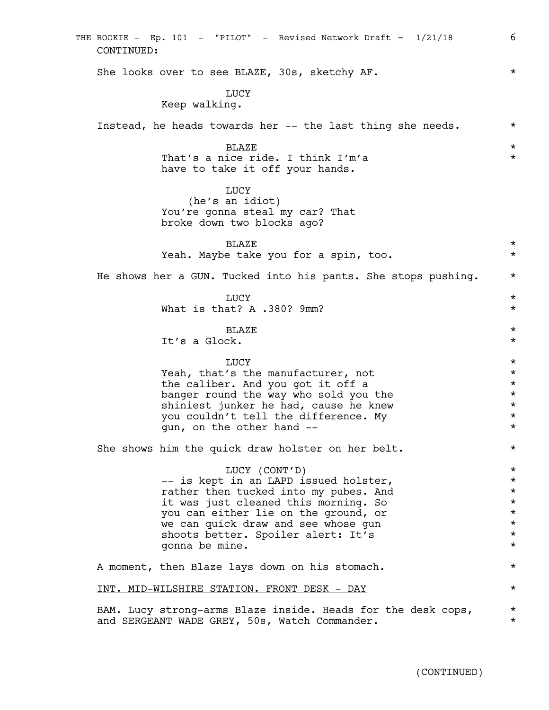She looks over to see BLAZE, 30s, sketchy AF.  $*$ LUCY Keep walking. Instead, he heads towards her -- the last thing she needs. \* \*  $\texttt{BLAZE}$  \* That's a nice ride. I think I'm'a  $*$ have to take it off your hands. LUCY (he's an idiot) You're gonna steal my car? That broke down two blocks ago?  $\texttt{BLAZE}$  \* Yeah. Maybe take you for a spin, too. \* He shows her a GUN. Tucked into his pants. She stops pushing.  $*$ LUCY  $\star$ What is that? A  $.380$ ? 9mm?  $\star$  $\texttt{BLAZE}$  \* It's a Glock. \* LUCY  $\star$ Yeah, that's the manufacturer, not  $\star$ <br>the caliber. And you got it off a the caliber. And you got it off a  $\star$ <br>banger round the way who sold you the  $\star$ banger round the way who sold you the  $*$ <br>shiniest junker he had, cause he knew  $*$ shiniest junker he had, cause he knew you couldn't tell the difference. My \* gun, on the other hand --  $*$ She shows him the quick draw holster on her belt.  $*$ LUCY (CONT'D) \* -- is kept in an LAPD issued holster,  $*$ rather then tucked into my pubes. And  $*$ <br>it was just cleaned this morning. So  $*$ it was just cleaned this morning. So  $\star$ <br>
you can either lie on the ground, or  $\star$ you can either lie on the ground, or \* we can quick draw and see whose qun  $*$ shoots better. Spoiler alert: It's  $*$ gonna be mine. \* A moment, then Blaze lays down on his stomach.  $*$ INT. MID-WILSHIRE STATION. FRONT DESK - DAY \* BAM. Lucy strong-arms Blaze inside. Heads for the desk cops,  $*$ and SERGEANT WADE GREY, 50s, Watch Commander. \* \* \* THE ROOKIE - Ep. 101 - "PILOT" - Revised Network Draft - 1/21/18 6 CONTINUED: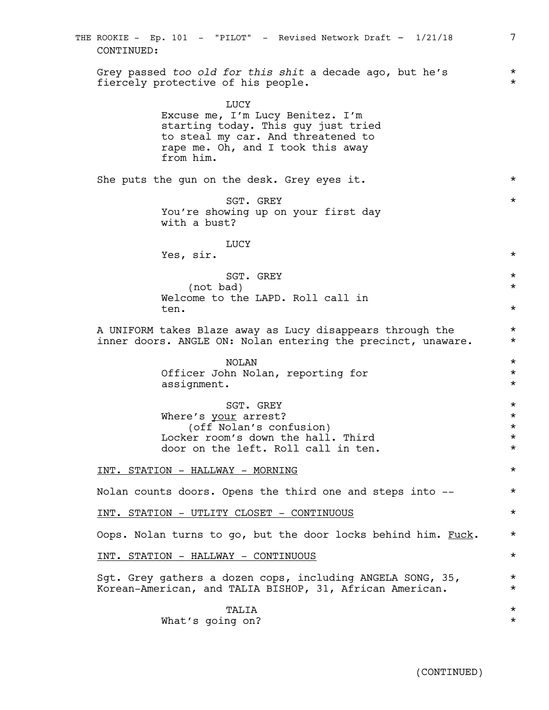| THE ROOKIE - Ep. 101 - "PILOT" - Revised Network Draft - 1/21/18<br>CONTINUED:                                                                                          | 7                                |
|-------------------------------------------------------------------------------------------------------------------------------------------------------------------------|----------------------------------|
| Grey passed too old for this shit a decade ago, but he's<br>fiercely protective of his people.                                                                          | $^\star$<br>$^\star$             |
| LUCY<br>Excuse me, I'm Lucy Benitez. I'm<br>starting today. This guy just tried<br>to steal my car. And threatened to<br>rape me. Oh, and I took this away<br>from him. |                                  |
| She puts the gun on the desk. Grey eyes it.                                                                                                                             | $^\star$                         |
| SGT. GREY<br>You're showing up on your first day<br>with a bust?                                                                                                        | $^\star$                         |
| LUCY<br>Yes, sir.                                                                                                                                                       | $^\star$                         |
| SGT. GREY                                                                                                                                                               | $^\star$                         |
| (not bad)<br>Welcome to the LAPD. Roll call in<br>ten.                                                                                                                  | $\star$<br>$^\star$              |
| A UNIFORM takes Blaze away as Lucy disappears through the<br>inner doors. ANGLE ON: Nolan entering the precinct, unaware.                                               | $^\star$<br>$^\star$             |
| <b>NOLAN</b><br>Officer John Nolan, reporting for<br>assignment.                                                                                                        | $^\star$<br>$^\star$<br>$^\star$ |
| SGT. GREY                                                                                                                                                               | $^\star$                         |
| Where's your arrest?<br>(off Nolan's confusion)                                                                                                                         | $^\star$<br>$\star$              |
| Locker room's down the hall. Third<br>door on the left. Roll call in ten.                                                                                               | $^\star$<br>$^\star$             |
| INT. STATION - HALLWAY - MORNING                                                                                                                                        | $^\star$                         |
| Nolan counts doors. Opens the third one and steps into --                                                                                                               | $^\star$                         |
| <u>INT. STATION - UTLITY CLOSET - CONTINUOUS</u>                                                                                                                        | $^\star$                         |
| Oops. Nolan turns to go, but the door locks behind him. Fuck.                                                                                                           | $^\star$                         |
| <u>INT. STATION - HALLWAY - CONTINUOUS</u>                                                                                                                              | $^\star$                         |
| Sqt. Grey gathers a dozen cops, including ANGELA SONG, 35,<br>Korean-American, and TALIA BISHOP, 31, African American.                                                  | $^\star$<br>$^\star$             |
| TALIA<br>What's going on?                                                                                                                                               | $^\star$<br>$^\star$             |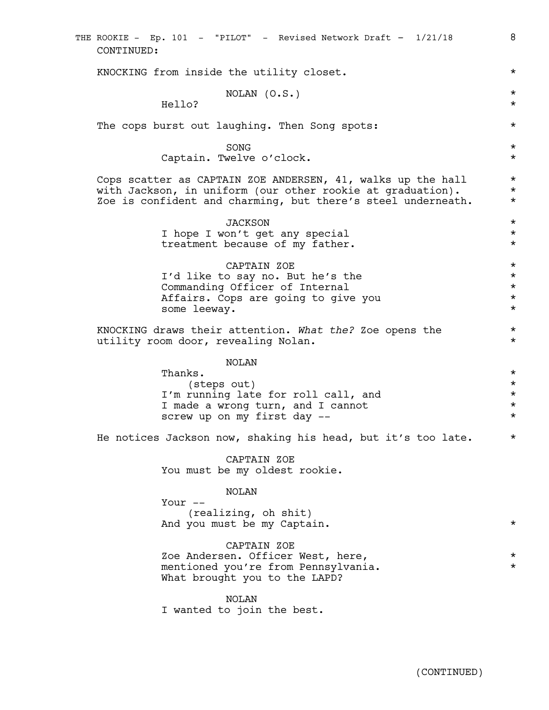| THE ROOKIE - Ep. 101 - "PILOT" - Revised Network Draft - 1/21/18<br>CONTINUED:                                                                                                            | 8                                                        |
|-------------------------------------------------------------------------------------------------------------------------------------------------------------------------------------------|----------------------------------------------------------|
| KNOCKING from inside the utility closet.                                                                                                                                                  | $^\star$                                                 |
| NOLAN (O.S.)<br>Hello?                                                                                                                                                                    | $^\star$<br>$^\star$                                     |
| The cops burst out laughing. Then Song spots:                                                                                                                                             | $^\star$                                                 |
| SONG<br>Captain. Twelve o'clock.                                                                                                                                                          | $^\star$<br>$^\star$                                     |
| Cops scatter as CAPTAIN ZOE ANDERSEN, 41, walks up the hall<br>with Jackson, in uniform (our other rookie at graduation).<br>Zoe is confident and charming, but there's steel underneath. | $^\star$<br>$^\star$<br>$^\star$                         |
| <b>JACKSON</b><br>I hope I won't get any special<br>treatment because of my father.                                                                                                       | $^\star$<br>$^\star$<br>$^\star$                         |
| CAPTAIN ZOE<br>I'd like to say no. But he's the<br>Commanding Officer of Internal<br>Affairs. Cops are going to give you<br>some leeway.                                                  | $^\star$<br>$^\star$<br>$^\star$<br>$^\star$<br>$^\star$ |
| KNOCKING draws their attention. What the? Zoe opens the<br>utility room door, revealing Nolan.                                                                                            | $^\star$<br>$^\star$                                     |
| NOLAN<br>Thanks.<br>(steps out)<br>I'm running late for roll call, and<br>I made a wrong turn, and I cannot<br>screw up on my first day --                                                | $^\star$<br>$^\star$<br>$^\star$<br>$^\star$<br>$^\star$ |
| He notices Jackson now, shaking his head, but it's too late.                                                                                                                              | $^\star$                                                 |
| CAPTAIN ZOE<br>You must be my oldest rookie.                                                                                                                                              |                                                          |
| NOLAN<br>Your $--$<br>(realizing, oh shit)<br>And you must be my Captain.                                                                                                                 | $^\star$                                                 |
| CAPTAIN ZOE<br>Zoe Andersen. Officer West, here,<br>mentioned you're from Pennsylvania.<br>What brought you to the LAPD?                                                                  | $^\star$<br>$^\star$                                     |
| NOLAN<br>I wanted to join the best.                                                                                                                                                       |                                                          |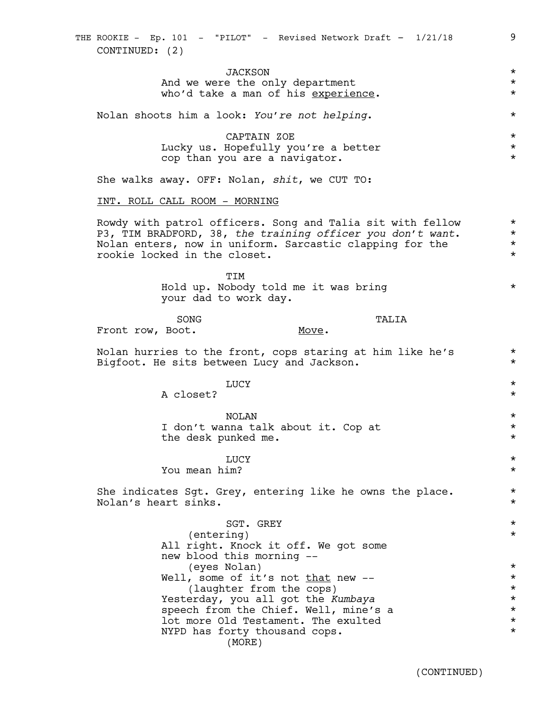# JACKSON \* And we were the only department  $*$ who'd take a man of his experience. Nolan shoots him a look: *You're not helping*. \* CAPTAIN ZOE \* Lucky us. Hopefully you're a better  $*$ cop than you are a navigator.  $*$ She walks away. OFF: Nolan, *shit*, we CUT TO: INT. ROLL CALL ROOM - MORNING Rowdy with patrol officers. Song and Talia sit with fellow \* P3, TIM BRADFORD, 38, *the training officer you don't want*. \* Nolan enters, now in uniform. Sarcastic clapping for the  $*$ rookie locked in the closet. \* TIM Hold up. Nobody told me it was bring \* your dad to work day. SONG TALIA Front row, Boot. TALIA Move. Nolan hurries to the front, cops staring at him like he's  $*$ Bigfoot. He sits between Lucy and Jackson. \* LUCY  $\star$ A closet?  $\star$ NOLAN \* I don't wanna talk about it. Cop at  $*$ the desk punked me.  $\star$ LUCY  $\star$ You mean him? \* She indicates Sgt. Grey, entering like he owns the place.  $*$ Nolan's heart sinks. \* SGT. GREY  $\star$ (entering) \* All right. Knock it off. We got some new blood this morning -- (eyes Nolan) \* Well, some of it's not  $\underline{\text{that}}$  new --<br>(laughter from the cops)  $\star$ (laughter from the cops)  $\star$ <br>erday, you all got the Kumbaya  $\star$ Yesterday, you all got the *Kumbaya* \* speech from the Chief. Well, mine's a  $\star$ <br>lot more Old Testament. The exulted  $\star$

(MORE)

lot more Old Testament. The exulted \* NYPD has forty thousand cops.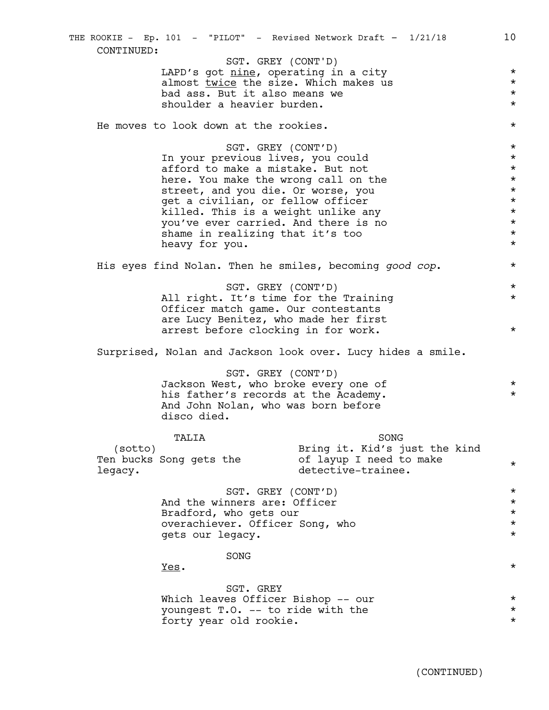LAPD's got <u>nine</u>, operating in a city  $*$ almost <u>twice</u> the size. Which makes us  $*$ <br>had ass. But it also means we bad ass. But it also means we \* shoulder a heavier burden.  $\star$ He moves to look down at the rookies. \* SGT. GREY (CONT'D) \* In your previous lives, you could \* afford to make a mistake. But not  $*$ here. You make the wrong call on the  $*$ street, and you die. Or worse, you  $*$ get a civilian, or fellow officer  $\star$ <br>
killed. This is a weight unlike any  $\star$ killed. This is a weight unlike any  $\star$ <br>
you've ever carried. And there is no  $\star$ you've ever carried. And there is no  $\star$ <br>shame in realizing that it's too shame in realizing that it's too heavy for you.  $\star$ His eyes find Nolan. Then he smiles, becoming *good cop*. \* SGT. GREY (CONT'D)  $*$ All right. It's time for the Training  $*$ Officer match game. Our contestants are Lucy Benitez, who made her first arrest before clocking in for work.  $*$ Surprised, Nolan and Jackson look over. Lucy hides a smile. SGT. GREY (CONT'D) Jackson West, who broke every one of  $*$ <br>his father's records at the Academy his father's records at the Academy. And John Nolan, who was born before disco died. TALIA (sotto) Ten bucks Song gets the legacy. \* detective-trainee. \* SONG Bring it. Kid's just the kind of layup I need to make  $*$ SGT. GREY (CONT'D) \* And the winners are: Officer  $\star$ <br>Bradford, who gets our Bradford, who gets our \* overachiever. Officer Song, who \* gets our legacy.  $*$ SONG  $Yes.$  \* SGT. GREY Which leaves Officer Bishop -- our  $*$ youngest T.O. -- to ride with the  $\star$ <br>forty year old rookie. forty year old rookie. THE ROOKIE - Ep. 101 - "PILOT" - Revised Network Draft - 1/21/18 10 CONTINUED: SGT. GREY (CONT'D)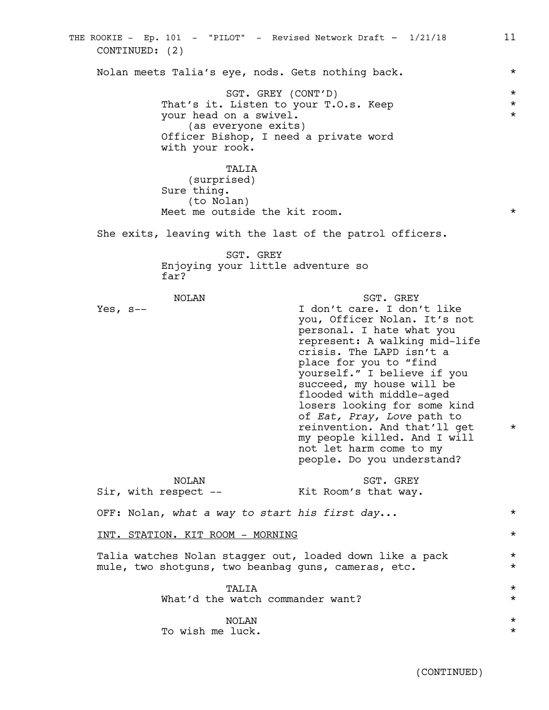Nolan meets Talia's eye, nods. Gets nothing back. \* SGT. GREY (CONT'D)  $*$ That's it. Listen to your T.O.s. Keep  $\star$ <br>your head on a swivel. your head on a swivel. \* (as everyone exits) Officer Bishop, I need a private word with your rook. TALIA (surprised) Sure thing. (to Nolan) Meet me outside the kit room.  $*$ She exits, leaving with the last of the patrol officers. SGT. GREY Enjoying your little adventure so far? NOLAN Yes,  $s--$ SGT. GREY I don't care. I don't like you, Officer Nolan. It's not personal. I hate what you represent: A walking mid-life crisis. The LAPD isn't a \* place for you to "find yourself." I believe if you succeed, my house will be flooded with middle-aged losers looking for some kind of *Eat, Pray, Love* path to \* reinvention. And that'll get \* my people killed. And I will \* not let harm come to my people. Do you understand? \* \* NOLAN Sir, with respect -- SGT. GREY Kit Room's that way. OFF: Nolan, *what a way to start his first day*... \* INT. STATION. KIT ROOM - MORNING \* Talia watches Nolan stagger out, loaded down like a pack \* mule, two shotguns, two beanbag guns, cameras, etc. TALIA \* What'd the watch commander want?  $\star$ NOLAN \* To wish me luck.  $\star$ THE ROOKIE - Ep. 101 - "PILOT" - Revised Network Draft - 1/21/18 11 CONTINUED: (2)

(CONTINUED)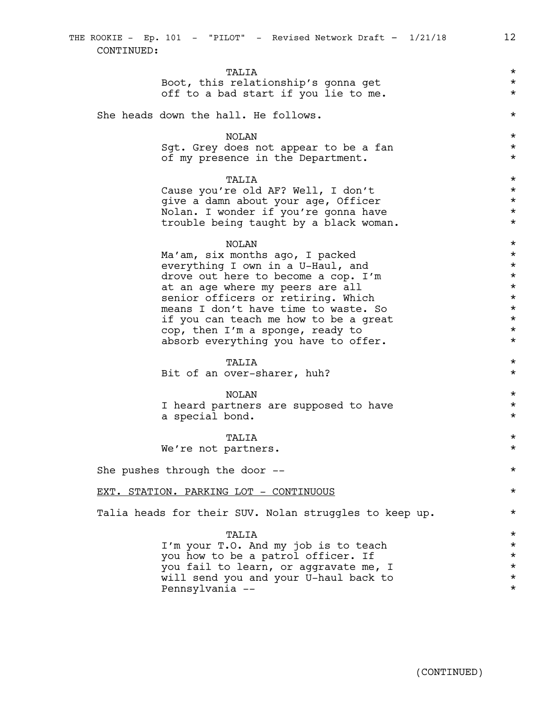TALIA \* Boot, this relationship's gonna get<br>
off to a bad start if you lie to me. off to a bad start if you lie to me. She heads down the hall. He follows.  $\star$ NOLAN \* Sgt. Grey does not appear to be a fan \*\* of my presence in the Department. \* TALIA \* Cause you're old AF? Well, I don't \* give a damn about your age, Officer \* Nolan. I wonder if you're gonna have \* trouble being taught by a black woman.  $*$ NOLAN \* Ma'am, six months ago, I packed  $\star$ <br>everything I own in a U-Haul, and  $\star$ everything I own in a U-Haul, and  $\star$ <br>drove out here to become a cop. I'm drove out here to become a cop. I'm \* at an age where my peers are all  $\star$ senior officers or retiring. Which  $*$ means I don't have time to waste. So  $*$ if you can teach me how to be a great  $\star$ <br>cop. then  $I'm$  a sponge, ready to  $\star$ cop, then I'm a sponge, ready to \* absorb everything you have to offer.  $*$ TALIA \* Bit of an over-sharer, huh?  $*$ NOLAN \* I heard partners are supposed to have  $*$ a special bond. \* TALIA \* We're not partners.  $\star$ She pushes through the door --  $\star$ EXT. STATION. PARKING LOT - CONTINUOUS \* Talia heads for their SUV. Nolan struggles to keep up.  $*$ 

> TALIA \* I'm your T.O. And my job is to teach \* you how to be a patrol officer. If  $\star$ <br>you fail to learn, or aggravate me. I you fail to learn, or aggravate me, I  $\star$ <br>will send you and your U-haul back to  $\star$ will send you and your U-haul back to  $\star$ <br>Pennsylvania Pennsylvania -- \*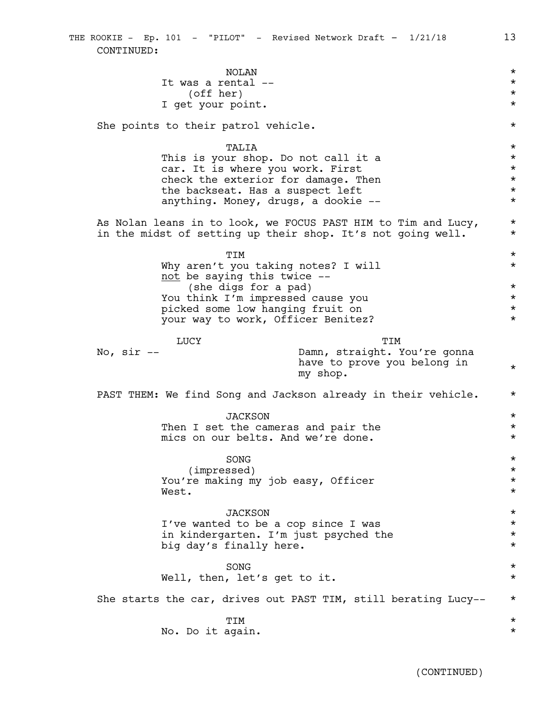|               | <b>NOLAN</b>                          |                                                                | $\star$             |
|---------------|---------------------------------------|----------------------------------------------------------------|---------------------|
|               | It was a rental --<br>(off her)       |                                                                | $\star$<br>$^\star$ |
|               | I get your point.                     |                                                                | $\star$             |
|               |                                       |                                                                |                     |
|               | She points to their patrol vehicle.   |                                                                | $^\star$            |
|               | TALIA                                 |                                                                | $\star$             |
|               | This is your shop. Do not call it a   |                                                                | $\star$             |
|               | car. It is where you work. First      |                                                                | $\star$             |
|               | check the exterior for damage. Then   |                                                                | $^\star$            |
|               | the backseat. Has a suspect left      |                                                                | $^\star$            |
|               | anything. Money, drugs, a dookie --   |                                                                | $\star$             |
|               |                                       | As Nolan leans in to look, we FOCUS PAST HIM to Tim and Lucy,  | $\star$             |
|               |                                       | in the midst of setting up their shop. It's not going well.    | $\star$             |
|               | TIM                                   |                                                                | $\star$             |
|               | Why aren't you taking notes? I will   |                                                                | $\star$             |
|               | not be saying this twice --           |                                                                |                     |
|               | (she digs for a pad)                  |                                                                | $\star$             |
|               | You think I'm impressed cause you     |                                                                | $\star$             |
|               | picked some low hanging fruit on      |                                                                | $^\star$            |
|               | your way to work, Officer Benitez?    |                                                                | $\star$             |
|               | LUCY                                  | TIM                                                            |                     |
| No, $\sin$ -- |                                       | Damn, straight. You're gonna                                   |                     |
|               |                                       | have to prove you belong in                                    | $\star$             |
|               |                                       | my shop.                                                       |                     |
|               |                                       | PAST THEM: We find Song and Jackson already in their vehicle.  | $\star$             |
|               |                                       |                                                                |                     |
|               | <b>JACKSON</b>                        |                                                                | $\star$             |
|               | Then I set the cameras and pair the   |                                                                | $^\star$            |
|               | mics on our belts. And we're done.    |                                                                | $\star$             |
|               | SONG                                  |                                                                | $^\star$            |
|               | (impressed)                           |                                                                | $^\star$            |
|               | You're making my job easy, Officer    |                                                                | $^\star$            |
|               | West.                                 |                                                                | $^\star$            |
|               | <b>JACKSON</b>                        |                                                                | $\star$             |
|               | I've wanted to be a cop since I was   |                                                                | $^\star$            |
|               | in kindergarten. I'm just psyched the |                                                                | $^\star$            |
|               | big day's finally here.               |                                                                | $\star$             |
|               | SONG                                  |                                                                | $\star$             |
|               | Well, then, let's get to it.          |                                                                | $^\star$            |
|               |                                       |                                                                |                     |
|               |                                       | She starts the car, drives out PAST TIM, still berating Lucy-- | $\star$             |
|               | TIM                                   |                                                                | $\star$             |
|               | No. Do it again.                      |                                                                | $^\star$            |
|               |                                       |                                                                |                     |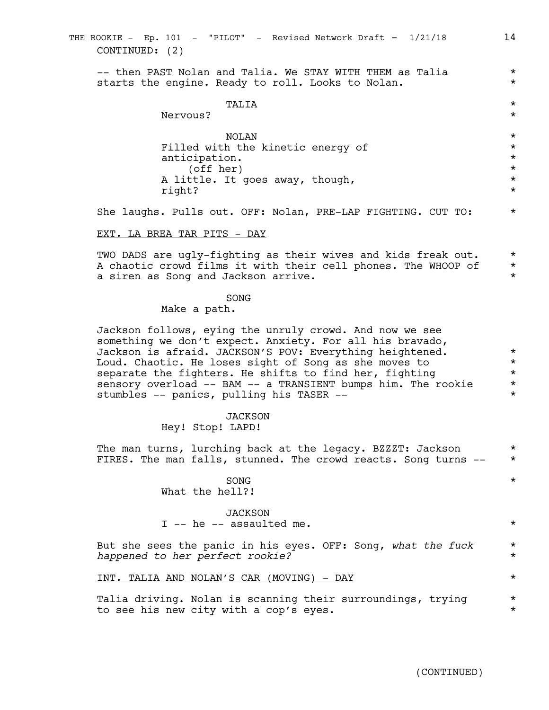| CONTINUED: (2)                                                                                                                                                                                                                                                                                                                                                                                                 |                                                                  |
|----------------------------------------------------------------------------------------------------------------------------------------------------------------------------------------------------------------------------------------------------------------------------------------------------------------------------------------------------------------------------------------------------------------|------------------------------------------------------------------|
| -- then PAST Nolan and Talia. We STAY WITH THEM as Talia<br>starts the engine. Ready to roll. Looks to Nolan.                                                                                                                                                                                                                                                                                                  | $^\star$<br>$^\star$                                             |
| TALIA<br>Nervous?                                                                                                                                                                                                                                                                                                                                                                                              | $\star$<br>$^\star$                                              |
| <b>NOLAN</b><br>Filled with the kinetic energy of<br>anticipation.<br>(off her)<br>A little. It goes away, though,<br>right?                                                                                                                                                                                                                                                                                   | $^\star$<br>$^\star$<br>$\star$<br>$\star$<br>$\star$<br>$\star$ |
| She laughs. Pulls out. OFF: Nolan, PRE-LAP FIGHTING. CUT TO:                                                                                                                                                                                                                                                                                                                                                   | $\star$                                                          |
| EXT. LA BREA TAR PITS - DAY                                                                                                                                                                                                                                                                                                                                                                                    |                                                                  |
| TWO DADS are ugly-fighting as their wives and kids freak out.<br>A chaotic crowd films it with their cell phones. The WHOOP of<br>a siren as Song and Jackson arrive.                                                                                                                                                                                                                                          | $^\star$<br>$\star$<br>$\star$                                   |
| SONG<br>Make a path.                                                                                                                                                                                                                                                                                                                                                                                           |                                                                  |
| Jackson follows, eying the unruly crowd. And now we see<br>something we don't expect. Anxiety. For all his bravado,<br>Jackson is afraid. JACKSON'S POV: Everything heightened.<br>Loud. Chaotic. He loses sight of Song as she moves to<br>separate the fighters. He shifts to find her, fighting<br>sensory overload -- BAM -- a TRANSIENT bumps him. The rookie<br>stumbles -- panics, pulling his TASER -- | $^\star$<br>$^\star$<br>$\star$<br>$^\star$<br>$\star$           |
| JACKSON<br>Hey! Stop! LAPD!                                                                                                                                                                                                                                                                                                                                                                                    |                                                                  |
| The man turns, lurching back at the legacy. BZZZT: Jackson<br>FIRES. The man falls, stunned. The crowd reacts. Song turns --                                                                                                                                                                                                                                                                                   | $^\star$<br>$^\star$                                             |
| SONG<br>What the hell?!                                                                                                                                                                                                                                                                                                                                                                                        | $^\star$                                                         |

THE ROOKIE - Ep. 101 - "PILOT" - Revised Network Draft - 1/21/18 14

JACKSON I -- he -- assaulted me.  $\star$ 

But she sees the panic in his eyes. OFF: Song, what the fuck \* *happened to her perfect rookie?* \*

INT. TALIA AND NOLAN'S CAR (MOVING) - DAY \*

Talia driving. Nolan is scanning their surroundings, trying  $*$ <br>to see his new city with a con's eyes to see his new city with a cop's eyes.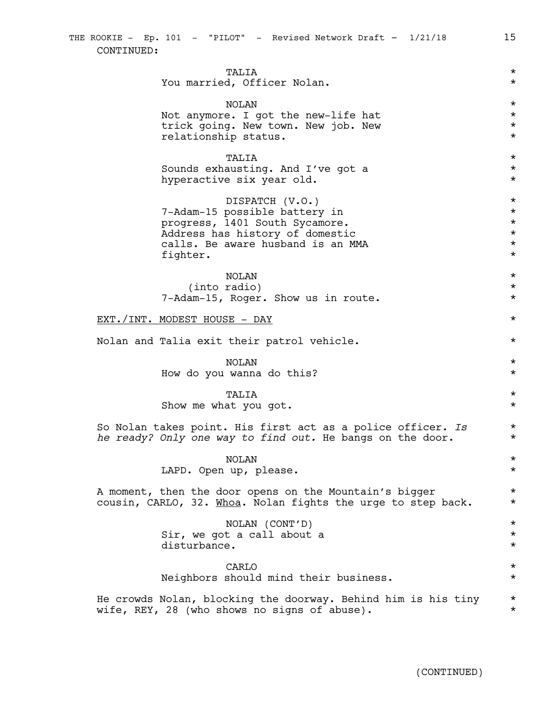| THE ROOKIE - Ep. 101 - "PILOT" - Revised Network Draft - 1/21/18<br>CONTINUED:                                                                                         | 15                                                                   |
|------------------------------------------------------------------------------------------------------------------------------------------------------------------------|----------------------------------------------------------------------|
| TALIA<br>You married, Officer Nolan.                                                                                                                                   | $^\star$<br>$^\star$                                                 |
| <b>NOLAN</b><br>Not anymore. I got the new-life hat<br>trick going. New town. New job. New<br>relationship status.                                                     | $^\star$<br>$^\star$<br>$^\star$<br>$^\star$                         |
| TALIA<br>Sounds exhausting. And I've got a<br>hyperactive six year old.                                                                                                | $^\star$<br>$^\star$<br>$^\star$                                     |
| DISPATCH (V.O.)<br>7-Adam-15 possible battery in<br>progress, 1401 South Sycamore.<br>Address has history of domestic<br>calls. Be aware husband is an MMA<br>fighter. | $^\star$<br>$^\star$<br>$^\star$<br>$^\star$<br>$^\star$<br>$^\star$ |
| NOLAN<br>(into radio)<br>7-Adam-15, Roger. Show us in route.                                                                                                           | $^\star$<br>$^\star$<br>$^\star$                                     |
| <u>EXT./INT. MODEST HOUSE - DAY</u>                                                                                                                                    | $^\star$                                                             |
| Nolan and Talia exit their patrol vehicle.                                                                                                                             | $^\star$                                                             |
| <b>NOLAN</b><br>How do you wanna do this?                                                                                                                              | $^\star$<br>$^\star$                                                 |
| TALIA<br>Show me what you got.                                                                                                                                         | $^\star$<br>$^\star$                                                 |
| So Nolan takes point. His first act as a police officer. Is<br>he ready? Only one way to find out. He bangs on the door.                                               | $^\star$<br>$^\star$                                                 |
| <b>NOLAN</b><br>LAPD. Open up, please.                                                                                                                                 | $^\star$<br>$^\star$                                                 |
| A moment, then the door opens on the Mountain's bigger<br>cousin, CARLO, 32. Whoa. Nolan fights the urge to step back.                                                 | $^\star$<br>$^\star$                                                 |
| NOLAN (CONT'D)<br>Sir, we got a call about a<br>disturbance.                                                                                                           | $^\star$<br>$^\star$<br>$^\star$                                     |
| CARLO<br>Neighbors should mind their business.                                                                                                                         | $^\star$<br>$^\star$                                                 |
| He crowds Nolan, blocking the doorway. Behind him is his tiny<br>wife, REY, 28 (who shows no signs of abuse).                                                          | $^\star$<br>$^\star$                                                 |

(CONTINUED)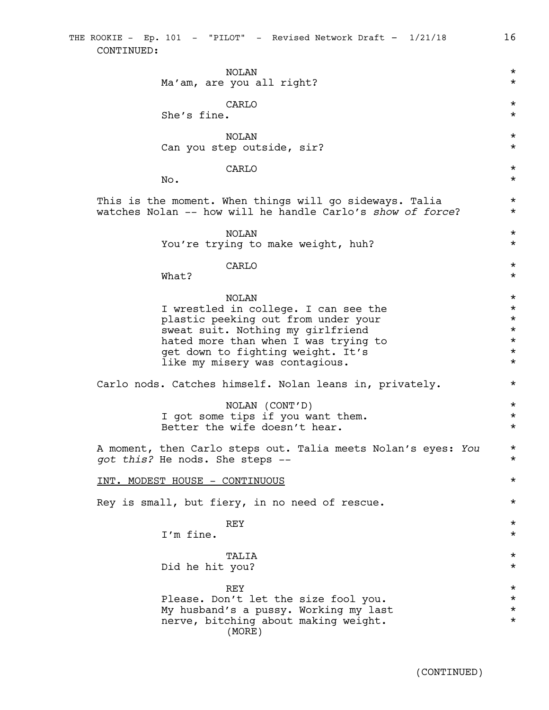NOLAN \* Ma'am, are you all right?  $*$  $\star$ She's fine. \* NOLAN \* Can you step outside, sir?  $\star$  $\star$ No.  $\star$ This is the moment. When things will go sideways. Talia \* watches Nolan -- how will he handle Carlo's *show of force*? \* NOLAN \* You're trying to make weight, huh? \*  $\star$  $\mathsf{What?}$ NOLAN \* I wrestled in college. I can see the \* plastic peeking out from under your  $*$ <br>sweat suit. Nothing my girlfriend  $*$ sweat suit. Nothing my girlfriend  $\star$ <br>hated more than when I was trying to  $\star$ hated more than when I was trying to  $*$ <br>  $\begin{array}{ccc}\n\text{set down to fiahtina weight. It's} \\
\end{array}$ get down to fighting weight. It's \* like my misery was contagious.  $\star$ Carlo nods. Catches himself. Nolan leans in, privately. \* NOLAN (CONT'D) \* I got some tips if you want them.  $*$ Better the wife doesn't hear.  $*$ A moment, then Carlo steps out. Talia meets Nolan's eyes: *You* \* *got this?* He nods. She steps -- \* INT. MODEST HOUSE - CONTINUOUS \* Rey is small, but fiery, in no need of rescue.  $*$  $REY$   $\star$ I'm fine.  $\star$ TALIA \* Did he hit you?  $REY$   $\star$ Please. Don't let the size fool you. \* My husband's a pussy. Working my last  $\star$ <br>nerve, bitching about making weight. nerve, bitching about making weight. THE ROOKIE - Ep. 101 - "PILOT" - Revised Network Draft - 1/21/18 16 CONTINUED: (MORE)

(CONTINUED)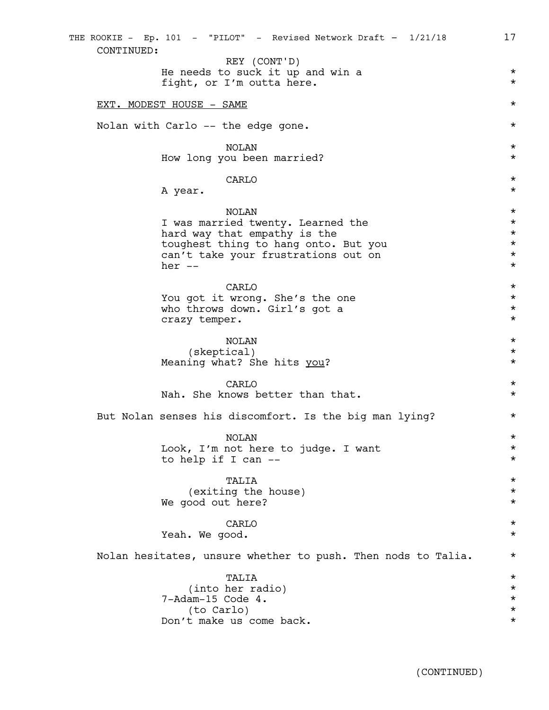| CONTINUED:                                                                    |                      |
|-------------------------------------------------------------------------------|----------------------|
| REY (CONT'D)<br>He needs to suck it up and win a<br>fight, or I'm outta here. | $^\star$<br>$^\star$ |
| EXT. MODEST HOUSE - SAME                                                      | $\star$              |
| Nolan with Carlo -- the edge gone.                                            | $^\star$             |
| <b>NOLAN</b>                                                                  | $^\star$             |
| How long you been married?                                                    | $^\star$             |
| CARLO                                                                         | $^\star$             |
| A year.                                                                       | $^\star$             |
| <b>NOLAN</b>                                                                  | $\star$              |
| I was married twenty. Learned the                                             | $^\star$             |
| hard way that empathy is the                                                  | $^\star$             |
| toughest thing to hang onto. But you                                          | $^\star$             |
| can't take your frustrations out on                                           | $^\star$             |
| her $--$                                                                      | $^\star$             |
| CARLO                                                                         | $\star$              |
| You got it wrong. She's the one                                               | $^\star$             |
| who throws down. Girl's got a                                                 | $^\star$             |
| crazy temper.                                                                 | $\star$              |
| <b>NOLAN</b>                                                                  | $\star$              |
| (skeptical)                                                                   | $^\star$             |
| Meaning what? She hits you?                                                   | $^\star$             |
| CARLO                                                                         | $^\star$             |
| Nah. She knows better than that.                                              | $^\star$             |
| But Nolan senses his discomfort. Is the big man lying?                        | $^\star$             |
| <b>NOLAN</b>                                                                  | $^\star$             |
| Look, I'm not here to judge. I want                                           | $^\star$             |
| to help if I can --                                                           | $^\star$             |
| TALIA                                                                         | $^\star$             |
| (exiting the house)                                                           | $^\star$             |
| We good out here?                                                             | $^\star$             |
| CARLO                                                                         | $^\star$             |
| Yeah. We good.                                                                | $^\star$             |
| Nolan hesitates, unsure whether to push. Then nods to Talia.                  | $^\star$             |
| TALIA                                                                         | $^\star$             |
| (into her radio)                                                              | $^\star$             |
| 7-Adam-15 Code 4.                                                             | $^\star$             |
| (to Carlo)                                                                    | $^\star$             |
| Don't make us come back.                                                      | $^\star$             |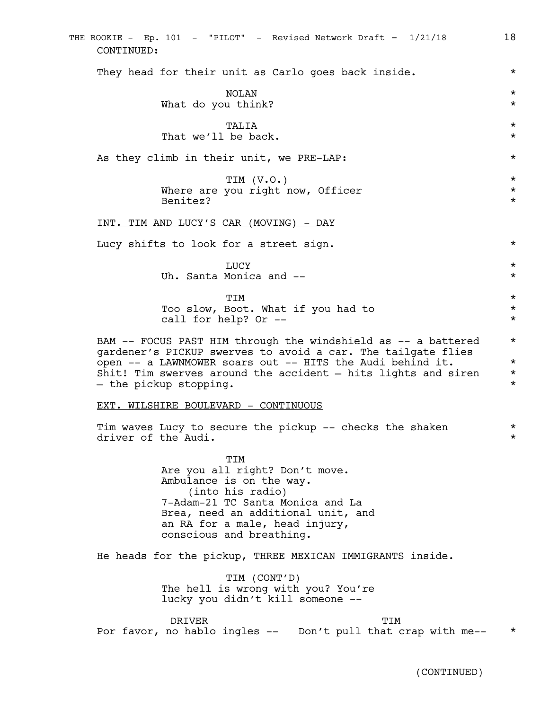| THE ROOKIE - Ep. 101 - "PILOT" - Revised Network Draft - 1/21/18<br>CONTINUED:                                                                                                                                                                                                        | 18                                           |
|---------------------------------------------------------------------------------------------------------------------------------------------------------------------------------------------------------------------------------------------------------------------------------------|----------------------------------------------|
| They head for their unit as Carlo goes back inside.                                                                                                                                                                                                                                   | $^\star$                                     |
| NOLAN                                                                                                                                                                                                                                                                                 | $^\star$                                     |
| What do you think?                                                                                                                                                                                                                                                                    | $^\star$                                     |
| TALIA                                                                                                                                                                                                                                                                                 | $^\star$                                     |
| That we'll be back.                                                                                                                                                                                                                                                                   | $^\star$                                     |
| As they climb in their unit, we PRE-LAP:                                                                                                                                                                                                                                              | $^\star$                                     |
| TIM $(V.O.)$                                                                                                                                                                                                                                                                          | $\star$                                      |
| Where are you right now, Officer<br>Benitez?                                                                                                                                                                                                                                          | $^\star$<br>$^\star$                         |
| INT. TIM AND LUCY'S CAR (MOVING) - DAY                                                                                                                                                                                                                                                |                                              |
| Lucy shifts to look for a street sign.                                                                                                                                                                                                                                                | $^\star$                                     |
| LUCY                                                                                                                                                                                                                                                                                  | $^\star$                                     |
| Uh. Santa Monica and --                                                                                                                                                                                                                                                               | $^\star$                                     |
| TIM                                                                                                                                                                                                                                                                                   | $^\star$                                     |
| Too slow, Boot. What if you had to                                                                                                                                                                                                                                                    | $^\star$                                     |
| call for help? Or --                                                                                                                                                                                                                                                                  | $^\star$                                     |
| BAM -- FOCUS PAST HIM through the windshield as -- a battered<br>gardener's PICKUP swerves to avoid a car. The tailgate flies<br>open -- a LAWNMOWER soars out -- HITS the Audi behind it.<br>Shit! Tim swerves around the accident - hits lights and siren<br>- the pickup stopping. | $^\star$<br>$^\star$<br>$^\star$<br>$^\star$ |
| EXT. WILSHIRE BOULEVARD - CONTINUOUS                                                                                                                                                                                                                                                  |                                              |
| Tim waves Lucy to secure the pickup -- checks the shaken                                                                                                                                                                                                                              | $^\star$                                     |
| driver of the Audi.                                                                                                                                                                                                                                                                   | $^\star$                                     |
| TIM<br>Are you all right? Don't move.<br>Ambulance is on the way.<br>(into his radio)<br>7-Adam-21 TC Santa Monica and La<br>Brea, need an additional unit, and<br>an RA for a male, head injury,<br>conscious and breathing.                                                         |                                              |
| He heads for the pickup, THREE MEXICAN IMMIGRANTS inside.                                                                                                                                                                                                                             |                                              |
| TIM (CONT'D)<br>The hell is wrong with you? You're<br>lucky you didn't kill someone --                                                                                                                                                                                                |                                              |
| <b>DRIVER</b><br>TIM                                                                                                                                                                                                                                                                  |                                              |
| Por favor, no hablo ingles --  Don't pull that crap with me--                                                                                                                                                                                                                         | $^\star$                                     |
|                                                                                                                                                                                                                                                                                       |                                              |
| (CONTINUED)                                                                                                                                                                                                                                                                           |                                              |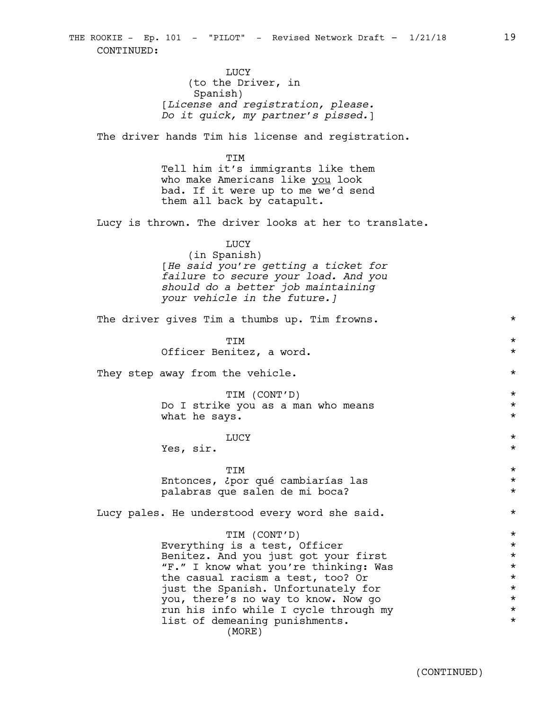LUCY (to the Driver, in Spanish) [*License and registration, please. Do it quick, my partner's pissed.*]

The driver hands Tim his license and registration.

TIM Tell him it's immigrants like them who make Americans like you look bad. If it were up to me we'd send them all back by catapult.

Lucy is thrown. The driver looks at her to translate.

#### LUCY

(in Spanish) [*He said you're getting a ticket for failure to secure your load. And you should do a better job maintaining your vehicle in the future.]*

The driver gives Tim a thumbs up. Tim frowns. \*

TIM \* Officer Benitez, a word. \*

They step away from the vehicle.  $\star$ 

TIM (CONT'D) \* Do I strike you as a man who means  $*$ what he says.  $\star$ 

# LUCY  $\star$

Yes, sir.  $\star$ 

TIM \* Entonces, ¿por qué cambiarías las \* palabras que salen de mi boca? \*

Lucy pales. He understood every word she said.  $*$ 

#### TIM (CONT'D) \*

Everything is a test, Officer  $*$ Benitez. And you just got your first<br>
"F." I know what you're thinking: Was \*\*\* "F." I know what you're thinking: Was<br>the casual racism a test, too? Or \* the casual racism a test, too? Or  $*$ <br>iust the Spanish. Unfortunately for  $*$ just the Spanish. Unfortunately for  $\star$ <br>
you, there's no way to know. Now go you, there's no way to know. Now go  $\star$ <br>run his info while I cycle through my  $\star$ run his info while I cycle through my  $\star$ <br>list of demeaning punishments. list of demeaning punishments. (MORE)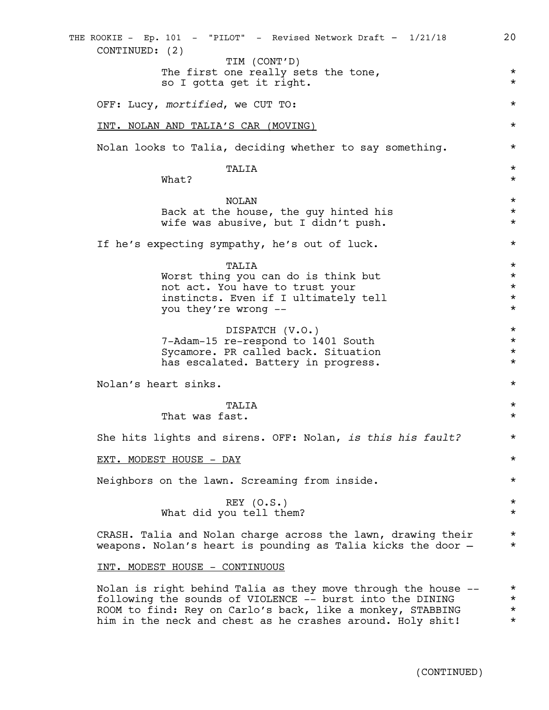The first one really sets the tone,  $*$ so I gotta get it right.  $\star$ OFF: Lucy, *mortified*, we CUT TO: \* INT. NOLAN AND TALIA'S CAR (MOVING) \* Nolan looks to Talia, deciding whether to say something.  $*$ TALIA \*  $\mathsf{What?}$ NOLAN \* Back at the house, the guy hinted his  $*$ wife was abusive, but I didn't push.  $*$ If he's expecting sympathy, he's out of luck. \* TALIA \* Worst thing you can do is think but  $*$ not act. You have to trust your  $*$ instincts. Even if I ultimately tell \* you they're wrong --  $*$ DISPATCH (V.O.) \* 7-Adam-15 re-respond to 1401 South \* Sycamore. PR called back. Situation  $*$ has escalated. Battery in progress.  $*$ Nolan's heart sinks. \* TALIA \* That was fast.  $\star$ She hits lights and sirens. OFF: Nolan, *is this his fault?* \* EXT. MODEST HOUSE - DAY Neighbors on the lawn. Screaming from inside.  $*$  $\begin{array}{ccc}\n\text{REY} & (0. \text{S.}) \\
\end{array}$ What did you tell them?  $\star$ CRASH. Talia and Nolan charge across the lawn, drawing their  $*$ weapons. Nolan's heart is pounding as Talia kicks the door  $*$ INT. MODEST HOUSE - CONTINUOUS Nolan is right behind Talia as they move through the house  $--$  \* following the sounds of VIOLENCE -- burst into the DINING \* ROOM to find: Rey on Carlo's back, like a monkey, STABBING  $*$  him in the neck and chest as he crashes around. Holy shit!  $*$ him in the neck and chest as he crashes around. Holy shit! THE ROOKIE - Ep. 101 - "PILOT" - Revised Network Draft - 1/21/18 20 CONTINUED: (2) TIM (CONT'D)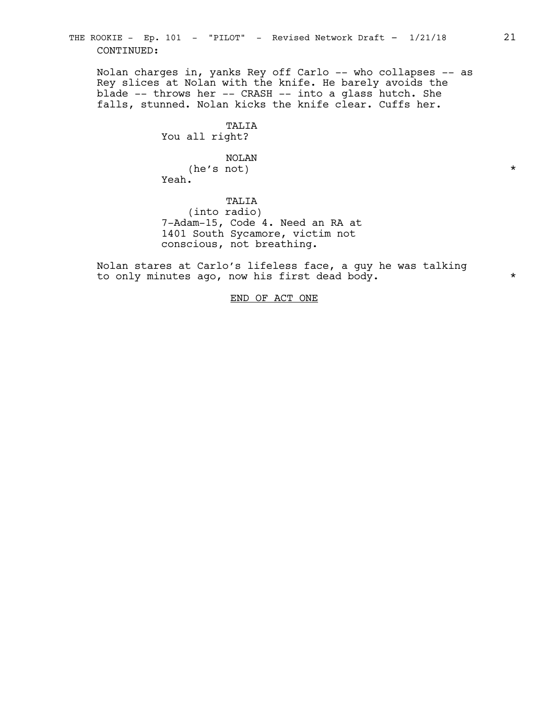THE ROOKIE - Ep. 101 - "PILOT" - Revised Network Draft - 1/21/18 21 CONTINUED:

Nolan charges in, yanks Rey off Carlo -- who collapses -- as Rey slices at Nolan with the knife. He barely avoids the blade -- throws her -- CRASH -- into a glass hutch. She falls, stunned. Nolan kicks the knife clear. Cuffs her.

> TALIA You all right?

NOLAN (he's not)  $\star$ Yeah.

TALIA (into radio) 7-Adam-15, Code 4. Need an RA at 1401 South Sycamore, victim not conscious, not breathing.

Nolan stares at Carlo's lifeless face, a guy he was talking to only minutes ago, now his first dead body.  $*$ 

END OF ACT ONE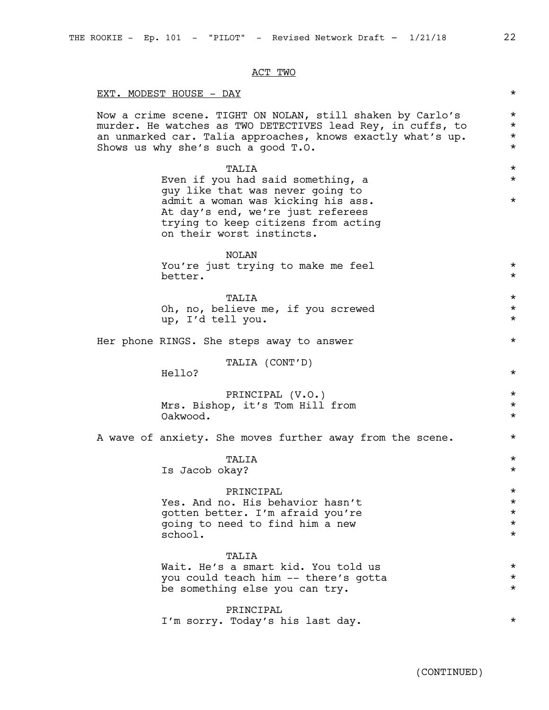#### ACT TWO

#### EXT. MODEST HOUSE - DAY

Now a crime scene. TIGHT ON NOLAN, still shaken by Carlo's  $*$ murder. He watches as TWO DETECTIVES lead Rey, in cuffs, to  $*$ an unmarked car. Talia approaches, knows exactly what's up. \* Shows us why she's such a good T.O.  $*$ 

> TALIA \* Even if you had said something, a  $\ast$ guy like that was never going to admit a woman was kicking his ass.  $*$ At day's end, we're just referees trying to keep citizens from acting on their worst instincts.

NOLAN You're just trying to make me feel  $*$ better.  $\star$ 

TALIA \* Oh, no, believe me, if you screwed \* up, I'd tell you. \*

Her phone RINGS. She steps away to answer  $*$ 

TALIA (CONT'D)

Hello? \*

PRINCIPAL (V.O.) \* Mrs. Bishop, it's Tom Hill from \* Oakwood. \*

A wave of anxiety. She moves further away from the scene.  $*$ 

TALIA \* Is Jacob okay? \*

PRINCIPAL<br>
o. His behavior hasn't Yes. And no. His behavior hasn't<br>
soften better. I'm afraid you're<br>
\* gotten better. I'm afraid you're \* going to need to find him a new \* school.  $\star$ 

#### TALIA

Wait. He's a smart kid. You told us \* you could teach him -- there's gotta \* be something else you can try.  $*$ 

PRINCIPAL I'm sorry. Today's his last day.  $*$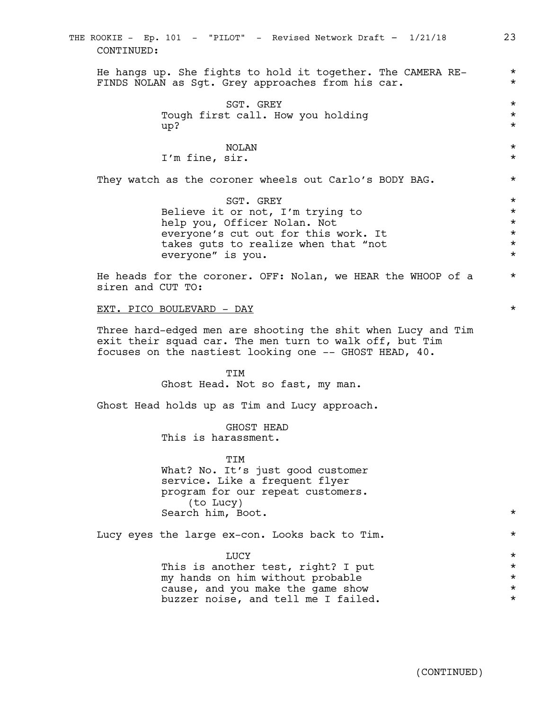|                                                                                                                                                                                   | THE ROOKIE - Ep. 101 - "PILOT" - Revised Network Draft - 1/21/18<br>CONTINUED:                                                                                                     | 23                                                                  |  |  |  |
|-----------------------------------------------------------------------------------------------------------------------------------------------------------------------------------|------------------------------------------------------------------------------------------------------------------------------------------------------------------------------------|---------------------------------------------------------------------|--|--|--|
|                                                                                                                                                                                   | He hangs up. She fights to hold it together. The CAMERA RE-<br>FINDS NOLAN as Sgt. Grey approaches from his car.                                                                   | $^\star$<br>$\star$                                                 |  |  |  |
|                                                                                                                                                                                   | SGT. GREY<br>Tough first call. How you holding<br>up?                                                                                                                              | $^\star$<br>$^\star$<br>$^\star$                                    |  |  |  |
|                                                                                                                                                                                   | <b>NOLAN</b><br>I'm fine, sir.                                                                                                                                                     | $^\star$<br>$^\star$                                                |  |  |  |
|                                                                                                                                                                                   | They watch as the coroner wheels out Carlo's BODY BAG.                                                                                                                             | $^\star$                                                            |  |  |  |
|                                                                                                                                                                                   | SGT. GREY<br>Believe it or not, I'm trying to<br>help you, Officer Nolan. Not<br>everyone's cut out for this work. It<br>takes guts to realize when that "not<br>everyone" is you. | $^\star$<br>$^\star$<br>$^\star$<br>$^\star$<br>$^\star$<br>$\star$ |  |  |  |
| He heads for the coroner. OFF: Nolan, we HEAR the WHOOP of a<br>siren and CUT TO:                                                                                                 |                                                                                                                                                                                    |                                                                     |  |  |  |
| EXT. PICO BOULEVARD - DAY                                                                                                                                                         |                                                                                                                                                                                    |                                                                     |  |  |  |
| Three hard-edged men are shooting the shit when Lucy and Tim<br>exit their squad car. The men turn to walk off, but Tim<br>focuses on the nastiest looking one -- GHOST HEAD, 40. |                                                                                                                                                                                    |                                                                     |  |  |  |
|                                                                                                                                                                                   | TIM<br>Ghost Head. Not so fast, my man.                                                                                                                                            |                                                                     |  |  |  |
|                                                                                                                                                                                   | Ghost Head holds up as Tim and Lucy approach.                                                                                                                                      |                                                                     |  |  |  |
|                                                                                                                                                                                   | GHOST HEAD<br>This is harassment.                                                                                                                                                  |                                                                     |  |  |  |
|                                                                                                                                                                                   | TIM<br>What? No. It's just good customer<br>service. Like a frequent flyer<br>program for our repeat customers.<br>(to Lucy)<br>Search him, Boot.                                  | $^\star$                                                            |  |  |  |
|                                                                                                                                                                                   | Lucy eyes the large ex-con. Looks back to Tim.                                                                                                                                     | $^\star$                                                            |  |  |  |
|                                                                                                                                                                                   | LUCY<br>This is another test, right? I put<br>my hands on him without probable<br>cause, and you make the game show<br>buzzer noise, and tell me I failed.                         | $^\star$<br>$^\star$<br>$^\star$<br>$^\star$<br>$^\star$            |  |  |  |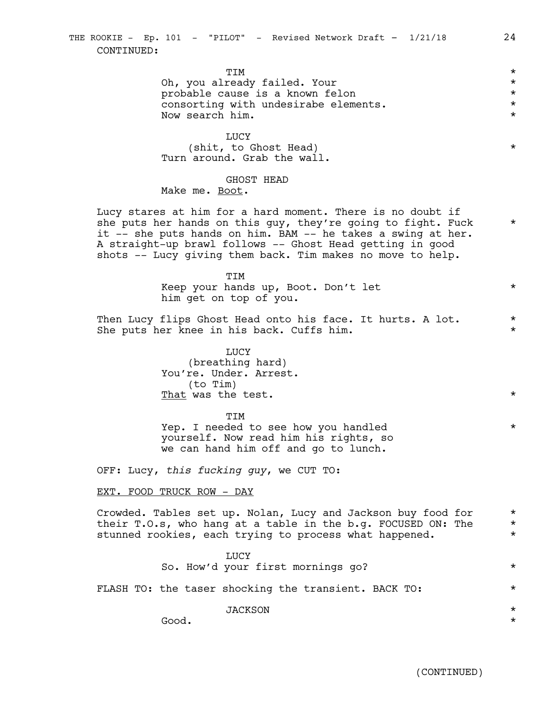TIM \* Oh, you already failed. Your  $\star$ <br>probable cause is a known felon  $\star$ probable cause is a known felon \* consorting with undesirabe elements.<br>Now search him. Now search him.

LUCY (shit, to Ghost Head)  $*$ Turn around. Grab the wall.

#### GHOST HEAD

Make me. Boot.

Lucy stares at him for a hard moment. There is no doubt if she puts her hands on this guy, they're going to fight. Fuck  $*$ it -- she puts hands on him. BAM -- he takes a swing at her. A straight-up brawl follows -- Ghost Head getting in good shots -- Lucy giving them back. Tim makes no move to help.

#### TIM

Keep your hands up, Boot. Don't let  $*$ him get on top of you.

Then Lucy flips Ghost Head onto his face. It hurts. A lot.  $*$ She puts her knee in his back. Cuffs him.

> LUCY (breathing hard) You're. Under. Arrest. (to Tim) That was the test.  $\star$

> **TTM** Yep. I needed to see how you handled  $*$ yourself. Now read him his rights, so we can hand him off and go to lunch.

OFF: Lucy, *this fucking guy*, we CUT TO:

#### EXT. FOOD TRUCK ROW - DAY

Crowded. Tables set up. Nolan, Lucy and Jackson buy food for \* their T.O.s, who hang at a table in the b.g. FOCUSED ON: The  $*$ stunned rookies, each trying to process what happened.  $*$ 

> LUCY So. How'd your first mornings go? \*

FLASH TO: the taser shocking the transient. BACK TO:  $*$ 

JACKSON \*

Good. \*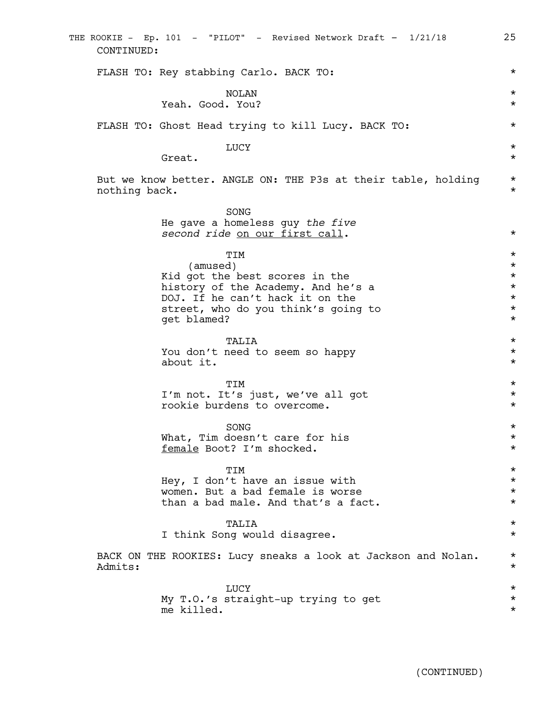| CONTINUED:    | THE ROOKIE - Ep. 101 - "PILOT" - Revised Network Draft - 1/21/18                                                                                                                 | 25                                                                               |
|---------------|----------------------------------------------------------------------------------------------------------------------------------------------------------------------------------|----------------------------------------------------------------------------------|
|               | FLASH TO: Rey stabbing Carlo. BACK TO:                                                                                                                                           | $^\star$                                                                         |
|               | NOLAN<br>Yeah. Good. You?                                                                                                                                                        | $^\star$<br>$^\star$                                                             |
|               | FLASH TO: Ghost Head trying to kill Lucy. BACK TO:                                                                                                                               | $^\star$                                                                         |
|               | LUCY<br>Great.                                                                                                                                                                   | $^\star$<br>$^\star$                                                             |
| nothing back. | But we know better. ANGLE ON: THE P3s at their table, holding                                                                                                                    | $^\star$<br>$^\star$                                                             |
|               | SONG<br>He gave a homeless guy the five<br>second ride on our first call.                                                                                                        | $^\star$                                                                         |
|               | TIM<br>(amused)<br>Kid got the best scores in the<br>history of the Academy. And he's a<br>DOJ. If he can't hack it on the<br>street, who do you think's going to<br>get blamed? | $^\star$<br>$^\star$<br>$^\star$<br>$^\star$<br>$^\star$<br>$^\star$<br>$^\star$ |
|               | TALIA<br>You don't need to seem so happy<br>about it.                                                                                                                            | $^\star$<br>$^\star$<br>$^\star$                                                 |
|               | TIM<br>I'm not. It's just, we've all got<br>rookie burdens to overcome.                                                                                                          | $^\star$<br>$^\star$<br>$^\star$                                                 |
|               | SONG<br>What, Tim doesn't care for his<br>female Boot? I'm shocked.                                                                                                              | $^\star$<br>$^\star$<br>$^\star$                                                 |
|               | TIM<br>Hey, I don't have an issue with<br>women. But a bad female is worse<br>than a bad male. And that's a fact.                                                                | $^\star$<br>$^\star$<br>$^\star$<br>$^\star$                                     |
|               | TALIA<br>I think Song would disagree.                                                                                                                                            | $^\star$<br>$^\star$                                                             |
| Admits:       | BACK ON THE ROOKIES: Lucy sneaks a look at Jackson and Nolan.                                                                                                                    | $^\star$<br>$^\star$                                                             |
|               | LUCY<br>My T.O.'s straight-up trying to get<br>me killed.                                                                                                                        | $^\star$<br>$^\star$<br>$^\star$                                                 |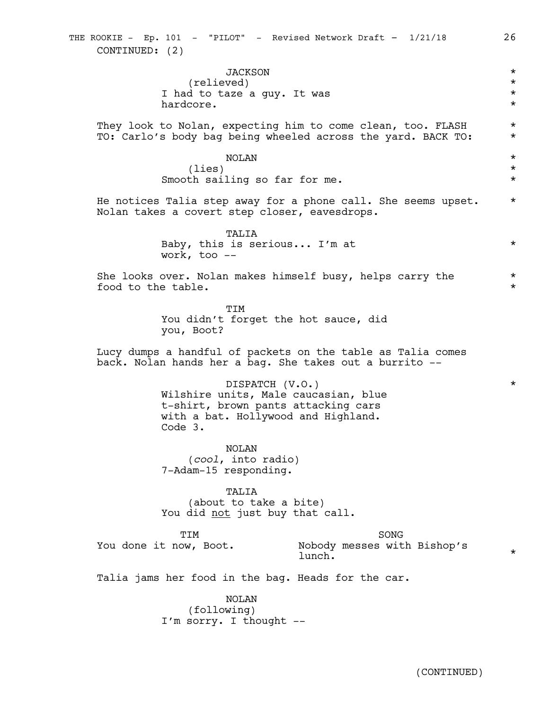| <b>JACKSON</b><br>(relieved)                                                                                                                     | $^\star$<br>$^\star$                            |  |
|--------------------------------------------------------------------------------------------------------------------------------------------------|-------------------------------------------------|--|
| I had to taze a guy. It was<br>hardcore.                                                                                                         | $^\star$<br>$^\star$                            |  |
| They look to Nolan, expecting him to come clean, too. FLASH<br>TO: Carlo's body bag being wheeled across the yard. BACK TO:                      | $^\star$<br>$^\star$                            |  |
| <b>NOLAN</b><br>(lies)<br>Smooth sailing so far for me.                                                                                          | $^\star$<br>$^\star$<br>$^\star$                |  |
| He notices Talia step away for a phone call. She seems upset.<br>Nolan takes a covert step closer, eavesdrops.                                   | $^\star$                                        |  |
| TALIA<br>Baby, this is serious I'm at<br>work, too $-$                                                                                           | $^\star$                                        |  |
| She looks over. Nolan makes himself busy, helps carry the<br>food to the table.                                                                  | $^\star$<br>$^\star$                            |  |
| TIM<br>You didn't forget the hot sauce, did<br>you, Boot?                                                                                        |                                                 |  |
| Lucy dumps a handful of packets on the table as Talia comes<br>back. Nolan hands her a bag. She takes out a burrito --                           |                                                 |  |
| DISPATCH (V.O.)<br>Wilshire units, Male caucasian, blue<br>t-shirt, brown pants attacking cars<br>with a bat. Hollywood and Highland.<br>Code 3. | $^\star$                                        |  |
| NOLAN<br>(cool, into radio)<br>7-Adam-15 responding.                                                                                             |                                                 |  |
| TALIA<br>(about to take a bite)<br>You did not just buy that call.                                                                               |                                                 |  |
| TIM<br>You done it now, Boot.<br>lunch.                                                                                                          | SONG<br>Nobody messes with Bishop's<br>$^\star$ |  |
| Talia jams her food in the bag. Heads for the car.                                                                                               |                                                 |  |
| <b>NOLAN</b><br>(following)<br>I'm sorry. I thought --                                                                                           |                                                 |  |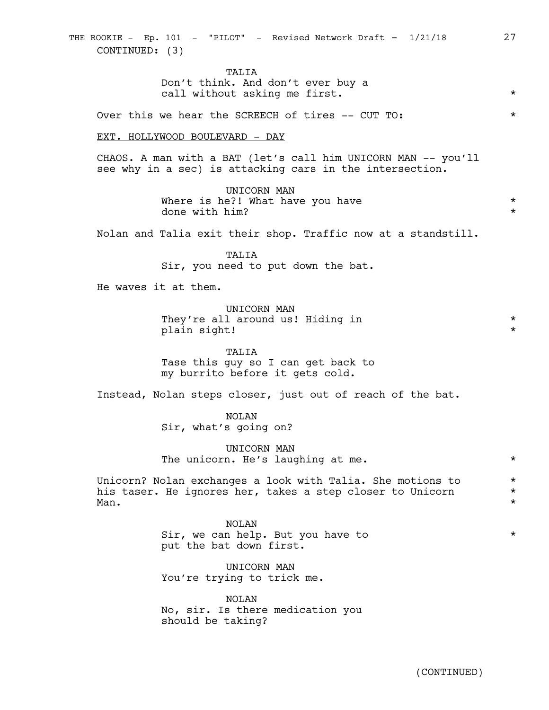TALIA Don't think. And don't ever buy a call without asking me first.  $*$ 

Over this we hear the SCREECH of tires -- CUT TO: \*

EXT. HOLLYWOOD BOULEVARD - DAY

CHAOS. A man with a BAT (let's call him UNICORN MAN -- you'll see why in a sec) is attacking cars in the intersection.

> UNICORN MAN Where is he?! What have you have  $\star$   $\star$   $\star$ done with him? \*

Nolan and Talia exit their shop. Traffic now at a standstill.

TALIA Sir, you need to put down the bat.

He waves it at them.

UNICORN MAN They're all around us! Hiding in  $*$ plain sight!  $\star$ 

TALIA Tase this guy so I can get back to my burrito before it gets cold.

Instead, Nolan steps closer, just out of reach of the bat.

NOLAN Sir, what's going on?

UNICORN MAN The unicorn. He's laughing at me.  $*$ 

Unicorn? Nolan exchanges a look with Talia. She motions to \* his taser. He ignores her, takes a step closer to Unicorn \*  $Man.$   $\star$ 

> NOLAN Sir, we can help. But you have to  $*$ put the bat down first.

UNICORN MAN You're trying to trick me.

NOLAN No, sir. Is there medication you should be taking?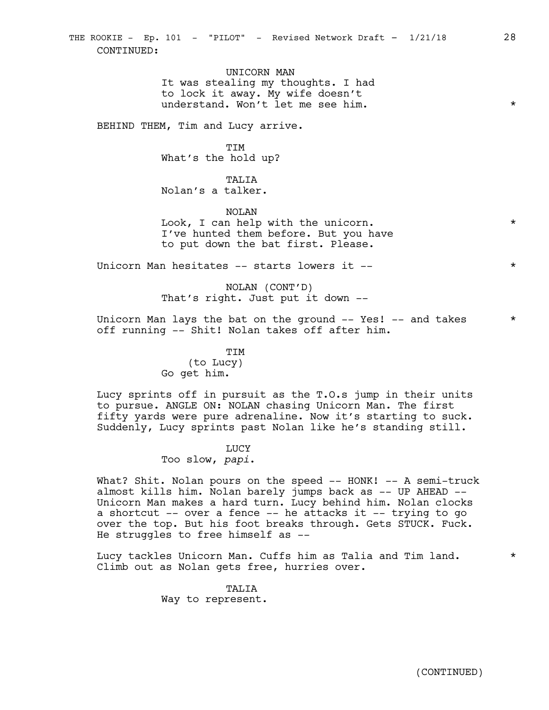UNICORN MAN It was stealing my thoughts. I had to lock it away. My wife doesn't understand. Won't let me see him.

BEHIND THEM, Tim and Lucy arrive.

TIM What's the hold up?

TALIA Nolan's a talker.

NOLAN Look, I can help with the unicorn.  $\star$ I've hunted them before. But you have to put down the bat first. Please.

Unicorn Man hesitates -- starts lowers it -- \* \* \* \*

NOLAN (CONT'D) That's right. Just put it down --

Unicorn Man lays the bat on the ground  $--$  Yes!  $--$  and takes  $*$ off running -- Shit! Nolan takes off after him.

> TIM (to Lucy) Go get him.

Lucy sprints off in pursuit as the T.O.s jump in their units to pursue. ANGLE ON: NOLAN chasing Unicorn Man. The first fifty yards were pure adrenaline. Now it's starting to suck. Suddenly, Lucy sprints past Nolan like he's standing still.

# LUCY

Too slow, *papi*.

What? Shit. Nolan pours on the speed -- HONK! -- A semi-truck almost kills him. Nolan barely jumps back as -- UP AHEAD -- Unicorn Man makes a hard turn. Lucy behind him. Nolan clocks a shortcut -- over a fence -- he attacks it -- trying to go over the top. But his foot breaks through. Gets STUCK. Fuck. He struggles to free himself as --

Lucy tackles Unicorn Man. Cuffs him as Talia and Tim land.  $*$ Climb out as Nolan gets free, hurries over.

> TALIA Way to represent.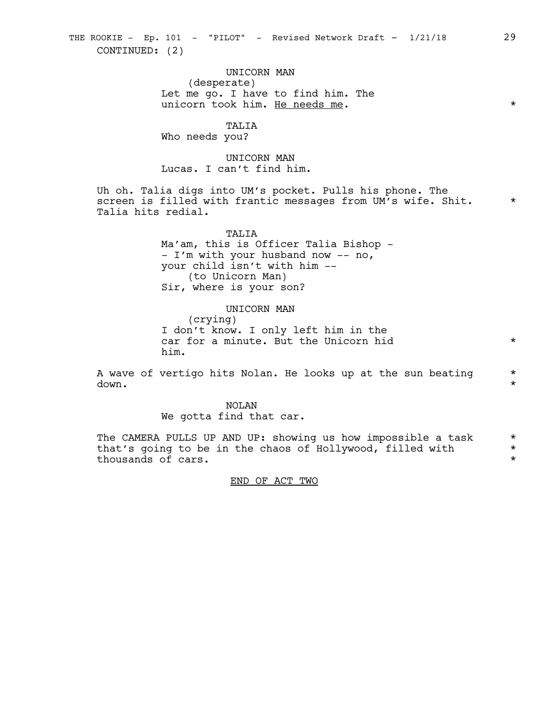UNICORN MAN (desperate) Let me go. I have to find him. The unicorn took him. He needs me. \*

TALIA

Who needs you?

UNICORN MAN Lucas. I can't find him.

Uh oh. Talia digs into UM's pocket. Pulls his phone. The screen is filled with frantic messages from UM's wife. Shit.  $*$ Talia hits redial.

> TALIA Ma'am, this is Officer Talia Bishop - - I'm with your husband now -- no, your child isn't with him -- (to Unicorn Man) Sir, where is your son?

UNICORN MAN (crying) I don't know. I only left him in the car for a minute. But the Unicorn hid  $*$ him.

A wave of vertigo hits Nolan. He looks up at the sun beating  $*$ down.  $\star$ 

> NOLAN We gotta find that car.

The CAMERA PULLS UP AND UP: showing us how impossible a task  $*$ <br>that's going to be in the chaos of Hollywood, filled with  $*$ that's going to be in the chaos of Hollywood, filled with \* thousands of cars.

END OF ACT TWO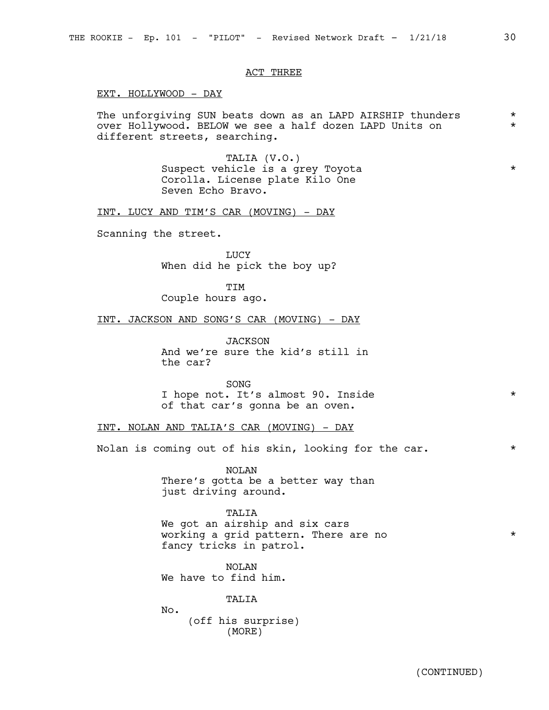#### ACT THREE

EXT. HOLLYWOOD - DAY

The unforgiving SUN beats down as an LAPD AIRSHIP thunders  $*$ over Hollywood. BELOW we see a half dozen LAPD Units on \* different streets, searching.

> TALIA (V.O.) Suspect vehicle is a grey Toyota  $*$ Corolla. License plate Kilo One Seven Echo Bravo.

INT. LUCY AND TIM'S CAR (MOVING) - DAY

Scanning the street.

LUCY When did he pick the boy up?

TIM Couple hours ago.

INT. JACKSON AND SONG'S CAR (MOVING) - DAY

*JACKSON* And we're sure the kid's still in the car?

SONG I hope not. It's almost 90. Inside \* of that car's gonna be an oven.

INT. NOLAN AND TALIA'S CAR (MOVING) - DAY

Nolan is coming out of his skin, looking for the car.  $*$ 

NOLAN There's gotta be a better way than just driving around.

TALIA We got an airship and six cars working a grid pattern. There are no  $*$ fancy tricks in patrol.

NOLAN We have to find him.

**TALIA** 

No. (off his surprise) (MORE)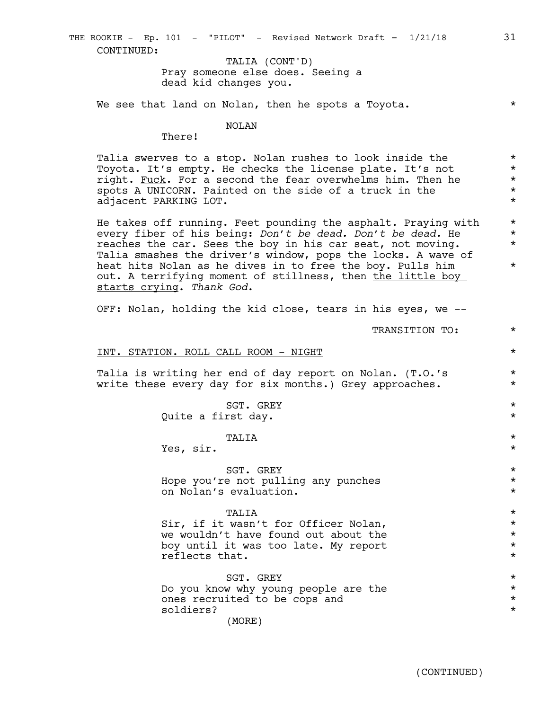Pray someone else does. Seeing a dead kid changes you. TALIA (CONT'D)

We see that land on Nolan, then he spots a Toyota.  $*$ 

#### NOLAN

There!

Talia swerves to a stop. Nolan rushes to look inside the \* Toyota. It's empty. He checks the license plate. It's not \* right. Fuck. For a second the fear overwhelms him. Then he  $*$ spots A UNICORN. Painted on the side of a truck in the  $*$ adjacent PARKING LOT. \*

He takes off running. Feet pounding the asphalt. Praying with  $*$ every fiber of his being: *Don't be dead. Don't be dead.* He \* reaches the car. Sees the boy in his car seat, not moving.  $*$ Talia smashes the driver's window, pops the locks. A wave of heat hits Nolan as he dives in to free the boy. Pulls him  $*$ out. A terrifying moment of stillness, then the little boy starts crying. *Thank God*.

OFF: Nolan, holding the kid close, tears in his eyes, we --

TRANSITION TO: \*

#### INT. STATION. ROLL CALL ROOM - NIGHT \*

Talia is writing her end of day report on Nolan. (T.O.'s  $*$ write these every day for six months.) Grey approaches. \*

> SGT. GREY  $\star$ Quite a first day.  $\star$

# TALIA \*

Yes, sir.  $\star$ 

SGT. GREY  $\star$ Hope you're not pulling any punches  $*$ on Nolan's evaluation.  $\star$ 

# TALIA \*

Sir, if it wasn't for Officer Nolan,  $*$ we wouldn't have found out about the  $*$ boy until it was too late. My report  $*$ reflects that.  $\star$ 

SGT. GREY  $\star$ Do you know why young people are the  $*$ ones recruited to be cops and  $*$ soldiers? \* (MORE)

(CONTINUED)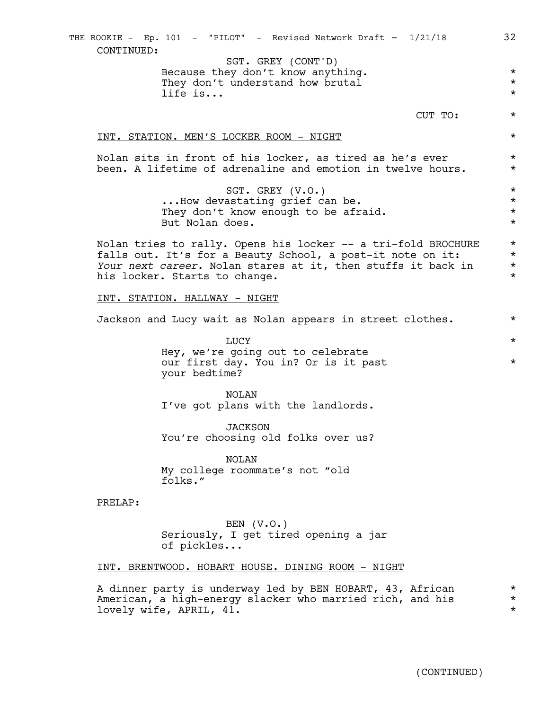Because they don't know anything.  $*$ They don't understand how brutal  $*$ life is...  $\star$ CUT TO: \* INT. STATION. MEN'S LOCKER ROOM - NIGHT  $\qquad$  \* Nolan sits in front of his locker, as tired as he's ever  $*$ been. A lifetime of adrenaline and emotion in twelve hours.  $*$ SGT. GREY (V.O.)  $*$ ...How devastating grief can be.  $\qquad \qquad \star$ <br>They don't know enough to be afraid.  $\qquad \qquad \star$ They don't know enough to be afraid. But Nolan does.  $\star$ Nolan tries to rally. Opens his locker -- a tri-fold BROCHURE \* falls out. It's for a Beauty School, a post-it note on it:<br>Your next career. Nolan stares at it. then stuffs it back in *Your next career.* Nolan stares at it, then stuffs it back in  $*$   $*$ his locker. Starts to change. INT. STATION. HALLWAY - NIGHT Jackson and Lucy wait as Nolan appears in street clothes. \* LUCY  $\star$ Hey, we're going out to celebrate our first day. You in? Or is it past  $*$ your bedtime? NOLAN I've got plans with the landlords. JACKSON You're choosing old folks over us? NOLAN My college roommate's not "old folks." PRELAP: BEN  $(V.O.)$ Seriously, I get tired opening a jar of pickles... INT. BRENTWOOD. HOBART HOUSE. DINING ROOM - NIGHT A dinner party is underway led by BEN HOBART, 43, African \* American, a high-energy slacker who married rich, and his  $*$ lovely wife, APRIL, 41.  $\star$ THE ROOKIE - Ep. 101 - "PILOT" - Revised Network Draft - 1/21/18 32 CONTINUED: SGT. GREY (CONT'D)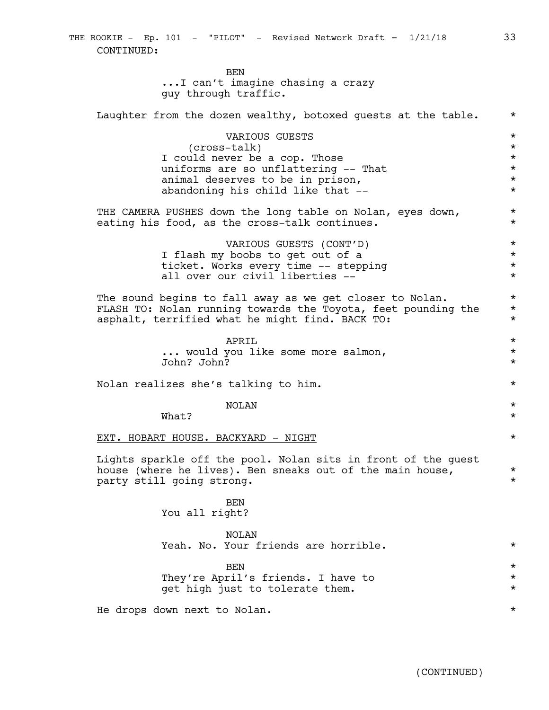THE ROOKIE - Ep. 101 - "PILOT" - Revised Network Draft - 1/21/18 33 CONTINUED:

> BEN ...I can't imagine chasing a crazy guy through traffic.

| Laughter from the dozen wealthy, botoxed guests at the table.                                                                                                                    | $^\star$                                                            |
|----------------------------------------------------------------------------------------------------------------------------------------------------------------------------------|---------------------------------------------------------------------|
| VARIOUS GUESTS<br>(cross-talk)<br>I could never be a cop. Those<br>uniforms are so unflattering -- That<br>animal deserves to be in prison,<br>abandoning his child like that -- | $^\star$<br>$^\star$<br>$^\star$<br>$\star$<br>$^\star$<br>$^\star$ |
| THE CAMERA PUSHES down the long table on Nolan, eyes down,<br>eating his food, as the cross-talk continues.                                                                      | $^\star$<br>$^\star$                                                |
| VARIOUS GUESTS (CONT'D)<br>I flash my boobs to get out of a<br>ticket. Works every time -- stepping<br>all over our civil liberties --                                           | $\star$<br>$^\star$<br>$^\star$<br>$^\star$                         |
| The sound begins to fall away as we get closer to Nolan.<br>FLASH TO: Nolan running towards the Toyota, feet pounding the<br>asphalt, terrified what he might find. BACK TO:     | $^\star$<br>$^\star$<br>$^\star$                                    |
| APRTT.<br>would you like some more salmon,<br>John? John?                                                                                                                        | $^\star$<br>$^\star$<br>$^\star$                                    |
| Nolan realizes she's talking to him.                                                                                                                                             | $^\star$                                                            |
| <b>NOLAN</b><br>What?                                                                                                                                                            | $^\star$<br>$^\star$                                                |
| EXT. HOBART HOUSE. BACKYARD - NIGHT                                                                                                                                              | $^\star$                                                            |
| Lights sparkle off the pool. Nolan sits in front of the guest<br>house (where he lives). Ben sneaks out of the main house,<br>party still going strong.                          | $^\star$<br>$^\star$                                                |
| <b>BEN</b><br>You all right?                                                                                                                                                     |                                                                     |
| NOLAN<br>Yeah. No. Your friends are horrible.                                                                                                                                    | $^\star$                                                            |
| <b>BEN</b><br>They're April's friends. I have to<br>get high just to tolerate them.                                                                                              | $^\star$<br>$^\star$<br>$^\star$                                    |
| He drops down next to Nolan.                                                                                                                                                     | $^\star$                                                            |

(CONTINUED)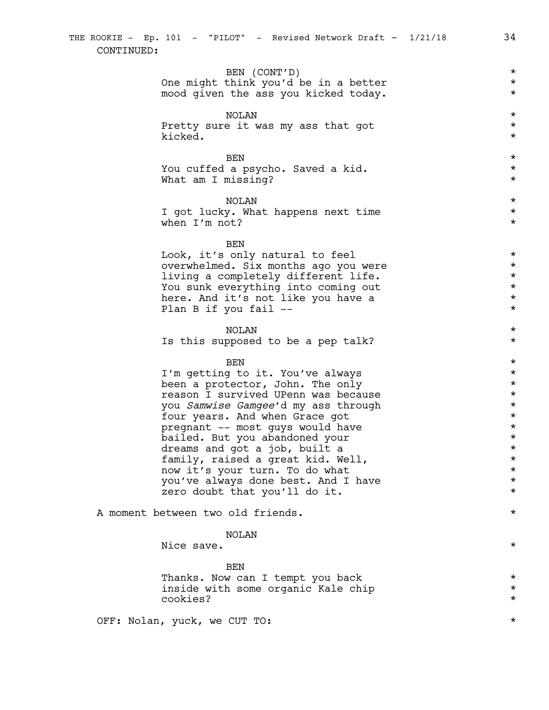# BEN (CONT'D) \* One might think you'd be in a better  $*$ <br>mood given the ass you kicked today. mood given the ass you kicked today.

NOLAN \* Pretty sure it was my ass that got  $*$ kicked.  $\star$ 

 $BEN$ You cuffed a psycho. Saved a kid.  $\star$ What am I missing?  $\star$ 

NOLAN \* I got lucky. What happens next time  $*$ when  $I'm$  not?  $\star$ 

#### BEN

Look, it's only natural to feel  $\star$ <br>overwhelmed. Six months ago you were  $\star$ overwhelmed. Six months ago you were  $\star$ <br>living a completely different life. living a completely different life. You sunk everything into coming out  $*$ here. And it's not like you have a  $*$ Plan B if you fail --  $*$ 

# NOLAN \*

Is this supposed to be a pep talk?  $*$ 

# $BEN$

I'm getting to it. You've always<br>
been a protector. John. The only been a protector, John. The only<br>reason I survived UPenn was because reason I survived UPenn was because<br>
you *Samwise Gamgee'*d my ass through the state of the state of the state of the state of the state of the state you *Samwise Gamgee*'d my ass through \* four years. And when Grace got pregnant -- most guys would have  $*$ bailed. But you abandoned your  $\star$ <br>dreams and got a job, built a dreams and got a job, built a  $\star$ <br>family, raised a great kid. Well,  $\star$ family, raised a great kid. Well,<br>now it's your turn. To do what  $\star$ now it's your turn. To do what you've always done best. And I have  $\star$ <br>zero doubt that you'll do it. zero doubt that you'll do it.

A moment between two old friends. \*

## NOLAN

Nice save.  $\star$ 

BEN Thanks. Now can I tempt you back  $*$ inside with some organic Kale chip  $\star$ cookies? \*

OFF: Nolan, yuck, we CUT TO:  $*$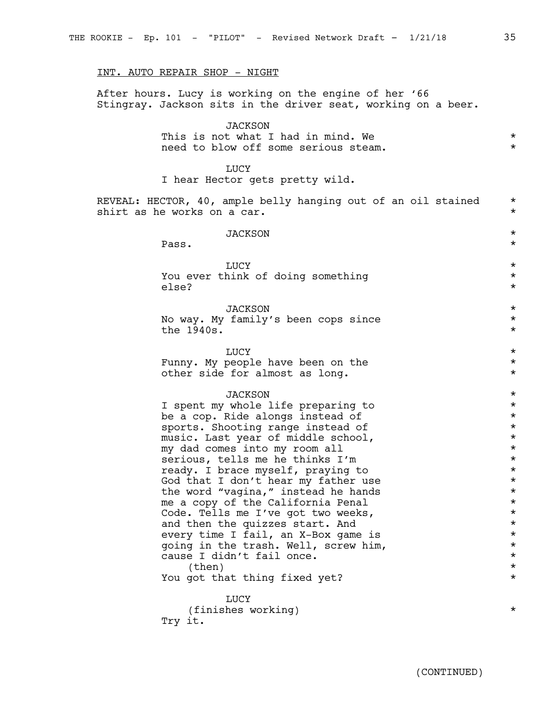#### INT. AUTO REPAIR SHOP - NIGHT

After hours. Lucy is working on the engine of her '66 Stingray. Jackson sits in the driver seat, working on a beer.

## **JACKSON**

|  | This is not what I had in mind. We   |  |  |
|--|--------------------------------------|--|--|
|  | need to blow off some serious steam. |  |  |

#### LUCY

I hear Hector gets pretty wild.

REVEAL: HECTOR, 40, ample belly hanging out of an oil stained  $*$ <br>shirt as he works on a car. shirt as he works on a car.

# JACKSON \* Pass.  $\star$ LUCY  $\star$ You ever think of doing something  $\star$ else? \* JACKSON \* No way. My family's been cops since  $\star$ <br>the 1940s. the  $1940s.$

LUCY  $\star$ Funny. My people have been on the  $*$ other side for almost as long. \*

#### JACKSON \*

I spent my whole life preparing to  $*$ be a cop. Ride alongs instead of  $*$ sports. Shooting range instead of  $*$ music. Last year of middle school,  $\star$ <br>my dad comes into my room all  $\star$ my dad comes into my room all  $\star$ <br>serious. tells me he thinks  $I'm$ serious, tells me he thinks I'm \* ready. I brace myself, praying to  $\star$ <br>God that I don't hear my father use  $\star$ God that I don't hear my father use  $\star$ <br>the word "vagina." instead he hands  $\star$ the word "vagina," instead he hands<br>me a copy of the California Penal \* \* \* \* me a copy of the California Penal<br>Code, Tells me I've got two weeks. Code. Tells me I've got two weeks,<br>and then the quizzes start. And  $\star$ and then the quizzes start. And  $\star$ <br>every time I fail. an X-Box game is  $\star$ every time I fail, an X-Box game is \* going in the trash. Well, screw him,  $*$ cause I didn't fail once.<br>
\*<br>
\*  $\times$  (then)  $\star$ You got that thing fixed yet?  $*$ 

LUCY (finishes working) \* Try it.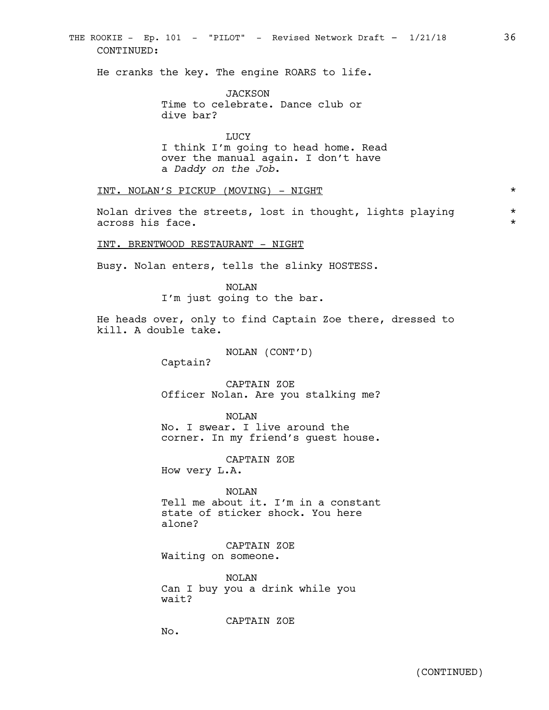# THE ROOKIE - Ep. 101 - "PILOT" - Revised Network Draft - 1/21/18 36 CONTINUED:

He cranks the key. The engine ROARS to life.

JACKSON Time to celebrate. Dance club or dive bar?

LUCY I think I'm going to head home. Read over the manual again. I don't have a *Daddy on the Job*.

INT. NOLAN'S PICKUP (MOVING) - NIGHT \*

Nolan drives the streets, lost in thought, lights playing \* across his face.  $\star$ 

INT. BRENTWOOD RESTAURANT - NIGHT

Busy. Nolan enters, tells the slinky HOSTESS.

NOLAN I'm just going to the bar.

He heads over, only to find Captain Zoe there, dressed to kill. A double take.

NOLAN (CONT'D)

Captain?

CAPTAIN ZOE Officer Nolan. Are you stalking me?

NOLAN No. I swear. I live around the corner. In my friend's guest house.

CAPTAIN ZOE

How very L.A.

NOLAN Tell me about it. I'm in a constant state of sticker shock. You here alone?

CAPTAIN ZOE Waiting on someone.

NOLAN Can I buy you a drink while you wait?

CAPTAIN ZOE

No.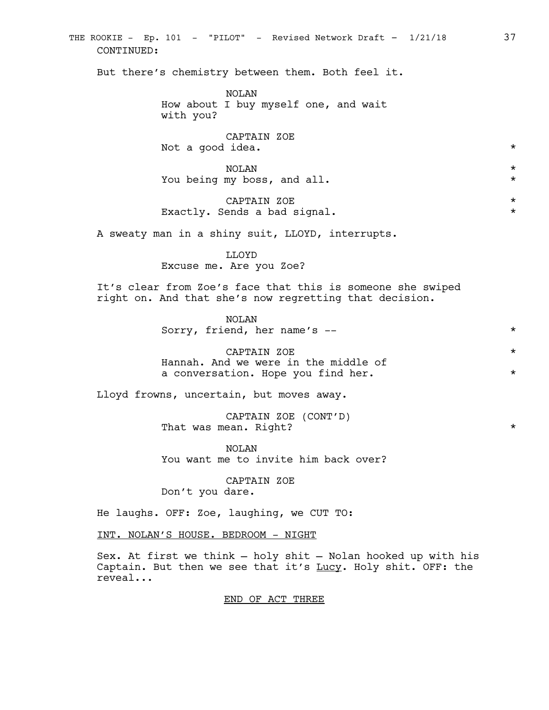THE ROOKIE - Ep. 101 - "PILOT" - Revised Network Draft - 1/21/18 37 CONTINUED:

But there's chemistry between them. Both feel it.

NOLAN How about I buy myself one, and wait with you?

CAPTAIN ZOE Not a good idea.  $*$ 

NOLAN \* You being my boss, and all.  $*$ 

CAPTAIN ZOE \* Exactly. Sends a bad signal. \*

A sweaty man in a shiny suit, LLOYD, interrupts.

LLOYD Excuse me. Are you Zoe?

It's clear from Zoe's face that this is someone she swiped right on. And that she's now regretting that decision.

> NOLAN Sorry, friend, her name's -- \* \* \* \*

> CAPTAIN ZOE \* Hannah. And we were in the middle of a conversation. Hope you find her.  $*$

Lloyd frowns, uncertain, but moves away.

CAPTAIN ZOE (CONT'D) That was mean. Right?  $\star$ 

NOLAN You want me to invite him back over?

CAPTAIN ZOE Don't you dare.

He laughs. OFF: Zoe, laughing, we CUT TO:

INT. NOLAN'S HOUSE. BEDROOM - NIGHT

Sex. At first we think — holy shit — Nolan hooked up with his Captain. But then we see that it's Lucy. Holy shit. OFF: the reveal...

END OF ACT THREE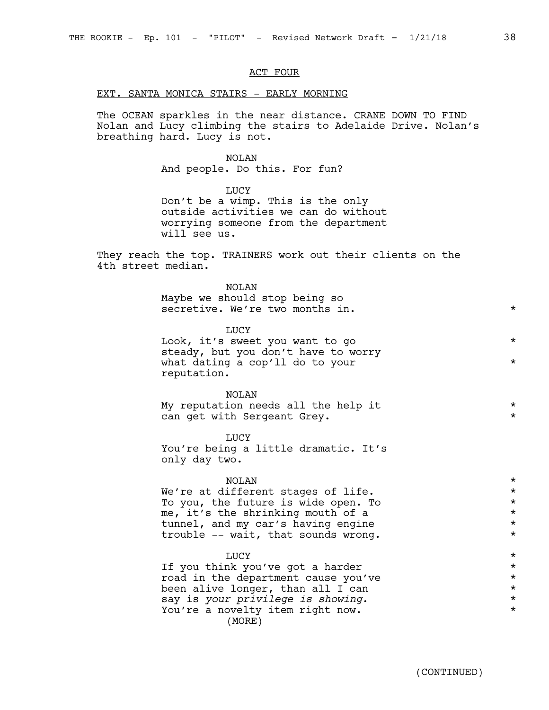#### ACT FOUR

# EXT. SANTA MONICA STAIRS - EARLY MORNING

The OCEAN sparkles in the near distance. CRANE DOWN TO FIND Nolan and Lucy climbing the stairs to Adelaide Drive. Nolan's breathing hard. Lucy is not.

#### NOLAN

And people. Do this. For fun?

LUCY Don't be a wimp. This is the only outside activities we can do without worrying someone from the department will see us.

They reach the top. TRAINERS work out their clients on the 4th street median.

| <b>NOLAN</b><br>Maybe we should stop being so<br>secretive. We're two months in.                                                        | $\star$             |
|-----------------------------------------------------------------------------------------------------------------------------------------|---------------------|
| <b>LUCY</b><br>Look, it's sweet you want to go<br>steady, but you don't have to worry<br>what dating a cop'll do to your<br>reputation. | $\star$<br>$\star$  |
| <b>NOLAN</b><br>My reputation needs all the help it<br>can get with Sergeant Grey.                                                      | $^\star$<br>$\star$ |
| LUCY<br>You're being a little dramatic. It's<br>only day two.                                                                           |                     |
| <b>NOLAN</b>                                                                                                                            | $\star$             |
| We're at different stages of life.                                                                                                      | $\star$             |
| To you, the future is wide open. To                                                                                                     | $\star$             |
| me, it's the shrinking mouth of a                                                                                                       | $\star$<br>$\star$  |
| tunnel, and my car's having engine<br>trouble -- wait, that sounds wrong.                                                               | $\star$             |
| LUCY                                                                                                                                    | $\star$             |
| If you think you've got a harder                                                                                                        | $\star$             |
| $\frac{1}{2}$ in the dependence to conce $\frac{1}{2}$                                                                                  |                     |

road in the department cause you've  $\qquad \qquad \star$ <br>been alive longer, than all I can been alive longer, than all I can \* say is *your privilege is showing*. \* You're a novelty item right now. (MORE)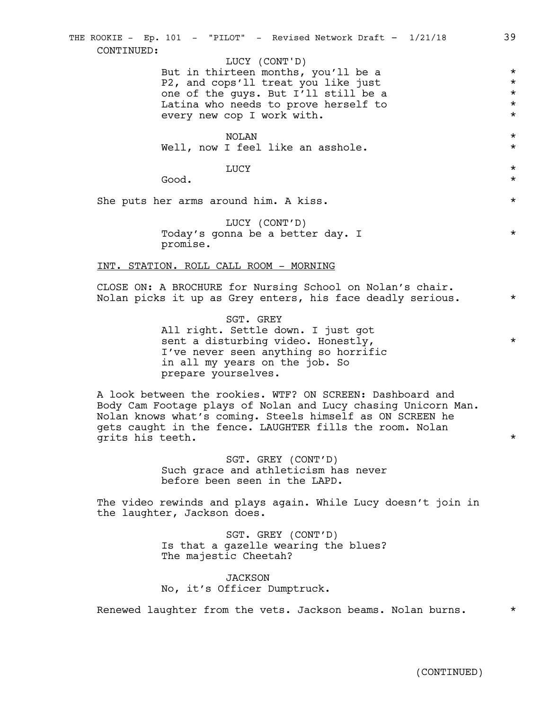But in thirteen months, you'll be a  $*$ P2, and cops'll treat you like just  $\star$ <br>one of the guys. But I'll still be a one of the guys. But I'll still be a \* Latina who needs to prove herself to  $\star$ <br>every new cop I work with. every new cop  $I$  work with.

NOLAN \* Well, now I feel like an asshole.  $*$ 

LUCY  $\star$ 

 $\bullet$  Good.  $\bullet$ 

She puts her arms around him. A kiss.  $*$ 

LUCY (CONT'D) Today's gonna be a better day. I  $*$ promise.

#### INT. STATION. ROLL CALL ROOM - MORNING

CLOSE ON: A BROCHURE for Nursing School on Nolan's chair. Nolan picks it up as Grey enters, his face deadly serious.  $*$ 

> SGT. GREY All right. Settle down. I just got sent a disturbing video. Honestly,  $*$ I've never seen anything so horrific in all my years on the job. So prepare yourselves.

A look between the rookies. WTF? ON SCREEN: Dashboard and Body Cam Footage plays of Nolan and Lucy chasing Unicorn Man. Nolan knows what's coming. Steels himself as ON SCREEN he gets caught in the fence. LAUGHTER fills the room. Nolan grits his teeth.  $\star$ 

> SGT. GREY (CONT'D) Such grace and athleticism has never before been seen in the LAPD.

The video rewinds and plays again. While Lucy doesn't join in the laughter, Jackson does.

> SGT. GREY (CONT'D) Is that a gazelle wearing the blues? The majestic Cheetah?

JACKSON No, it's Officer Dumptruck.

Renewed laughter from the vets. Jackson beams. Nolan burns. \*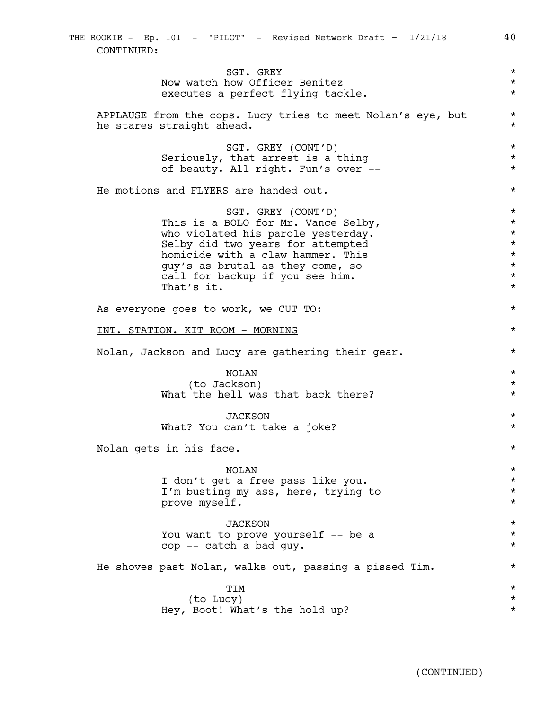SGT. GREY  $\star$ Now watch how Officer Benitez<br>executes a perfect flying tackle. executes a perfect flying tackle. APPLAUSE from the cops. Lucy tries to meet Nolan's eye, but \* he stares straight ahead.  $\star$ SGT. GREY (CONT'D)  $*$ Seriously, that arrest is a thing  $\star$ of beauty. All right. Fun's over -- \* \* \* He motions and FLYERS are handed out. \* SGT. GREY (CONT'D) \* This is a BOLO for Mr. Vance Selby,<br>who violated his parole vesterday. who violated his parole yesterday. Selby did two years for attempted \* homicide with a claw hammer. This  $\star$ <br>guy's as brutal as they come, so  $\star$ guy's as brutal as they come, so  $\star$ <br>call for backup if you see him. call for backup if you see him. That's it.  $\star$ As everyone goes to work, we CUT TO:  $*$ INT. STATION. KIT ROOM - MORNING \* Nolan, Jackson and Lucy are gathering their gear.  $*$ NOLAN \* (to Jackson) \* What the hell was that back there?  $*$ JACKSON \* What? You can't take a joke? \* Nolan gets in his face.  $\star$ NOLAN \* I don't get a free pass like you.  $*$ I'm busting my ass, here, trying to  $\star$ <br>prove myself. prove myself. \* JACKSON \* You want to prove yourself -- be a  $*$ cop -- catch a bad guy. He shoves past Nolan, walks out, passing a pissed Tim. \* TIM \* (to Lucy) \* Hey, Boot! What's the hold up? \* THE ROOKIE - Ep. 101 - "PILOT" - Revised Network Draft - 1/21/18 40 CONTINUED: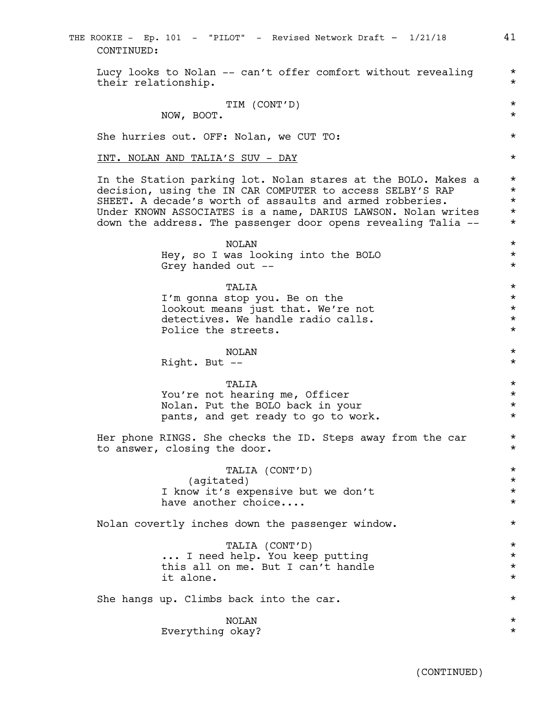THE ROOKIE - Ep. 101 - "PILOT" - Revised Network Draft - 1/21/18 41 CONTINUED:

Lucy looks to Nolan  $--$  can't offer comfort without revealing  $*$ their relationship.  $\star$ 

$$
\verb"TIM (CONT'D) \qquad \qquad \verb"#
$$

NOW, BOOT. \*

She hurries out. OFF: Nolan, we CUT TO: \*

#### INT. NOLAN AND TALIA'S SUV - DAY \*

In the Station parking lot. Nolan stares at the BOLO. Makes a  $*$ decision, using the IN CAR COMPUTER to access SELBY'S RAP  $*$ SHEET. A decade's worth of assaults and armed robberies.  $*$ Under KNOWN ASSOCIATES is a name, DARIUS LAWSON. Nolan writes \* down the address. The passenger door opens revealing Talia -- \*

> NOLAN \* Hey, so I was looking into the BOLO  $*$ Grey handed out  $--$

> TALIA \* I'm gonna stop you. Be on the  $*$ lookout means just that. We're not  $*$ detectives. We handle radio calls.  $\star$ <br>Police the streets. Police the streets.

> NOLAN \* Right. But --  $\star$

# TALIA \*

You're not hearing me, Officer  $*$ Nolan. Put the BOLO back in your  $*$ pants, and get ready to go to work.  $*$ 

Her phone RINGS. She checks the ID. Steps away from the car  $*$ to answer, closing the door.

> TALIA (CONT'D) \* (agitated) \* I know it's expensive but we don't \* have another choice....  $\star$

Nolan covertly inches down the passenger window.  $*$ 

TALIA (CONT'D) \* ... I need help. You keep putting \* this all on me. But I can't handle it alone.  $\star$ 

She hangs up. Climbs back into the car.  $*$ 

NOLAN \* Everything okay? \*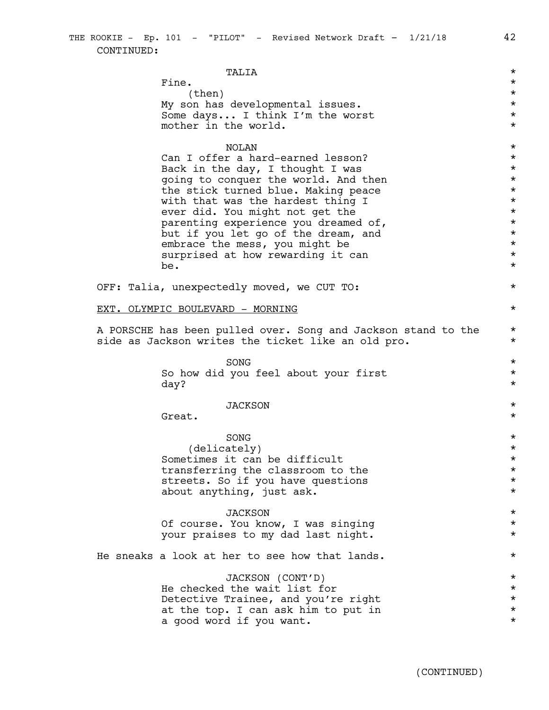TALIA \* Fine.  $\star$  $\times$  (then)  $\star$ My son has developmental issues. \* Some days... I think I'm the worst  $*$ mother in the world.  $\star$ NOLAN \* Can I offer a hard-earned lesson?  $*$ Back in the day, I thought I was  $\star$ going to conquer the world. And then  $*$ the stick turned blue. Making peace  $*$ with that was the hardest thing I  $\star$ <br>ever did. You might not get the  $\star$ ever did. You might not get the  $\star$ <br>parenting experience you dreamed of.  $\star$ parenting experience you dreamed of,  $\star$ <br>but if you let go of the dream, and  $\star$ but if you let go of the dream, and embrace the mess, you might be  $*$ <br>surprised at how rewarding it can surprised at how rewarding it can \*  $be.$ OFF: Talia, unexpectedly moved, we CUT TO: \* EXT. OLYMPIC BOULEVARD - MORNING  $\star$ A PORSCHE has been pulled over. Song and Jackson stand to the  $*$ side as Jackson writes the ticket like an old pro.  $*$  $SONG$   $\star$ So how did you feel about your first  $\qquad \qquad *$ <br>dav? day? \* JACKSON \*  $\text{Great.}$  \*  $SONG$   $\star$ (delicately) \* Sometimes it can be difficult  $\star$ <br>transferring the classroom to the  $\star$ transferring the classroom to the \* streets. So if you have questions  $*$ about anything, just ask.  $\star$ JACKSON \* Of course. You know, I was singing \* your praises to my dad last night.  $*$ He sneaks a look at her to see how that lands.  $*$ JACKSON (CONT'D) \* He checked the wait list for  $\star$ Detective Trainee, and you're right<br>at the top. I can ask him to put in  $\star$ at the top. I can ask him to put in  $\star$ <br>a good word if you want. a good word if you want.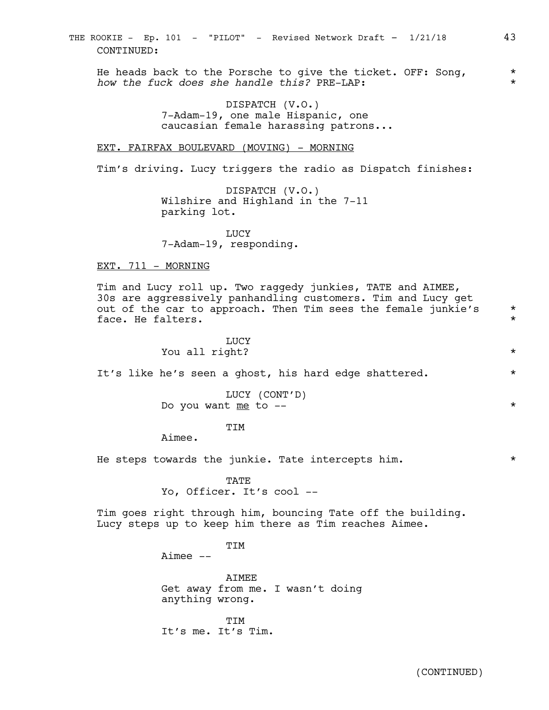He heads back to the Porsche to give the ticket. OFF: Song,  $*$ *how the fuck does she handle this?* PRE-LAP: \*

> DISPATCH (V.O.) 7-Adam-19, one male Hispanic, one caucasian female harassing patrons...

## EXT. FAIRFAX BOULEVARD (MOVING) - MORNING

Tim's driving. Lucy triggers the radio as Dispatch finishes:

DISPATCH (V.O.) Wilshire and Highland in the 7-11 parking lot.

LUCY 7-Adam-19, responding.

#### EXT. 711 - MORNING

Tim and Lucy roll up. Two raggedy junkies, TATE and AIMEE, 30s are aggressively panhandling customers. Tim and Lucy get out of the car to approach. Then Tim sees the female junkie's  $*$ face. He falters.  $\star$ 

> **LUCY** You all right? \*

It's like he's seen a ghost, his hard edge shattered.  $*$ 

LUCY (CONT'D) Do you want me to --  $*$ 

**TTM** 

Aimee.

He steps towards the junkie. Tate intercepts him.  $*$ 

**TATE** Yo, Officer. It's cool --

Tim goes right through him, bouncing Tate off the building. Lucy steps up to keep him there as Tim reaches Aimee.

TTM

Aimee --

AIMEE Get away from me. I wasn't doing anything wrong.

**TTM** It's me. It's Tim.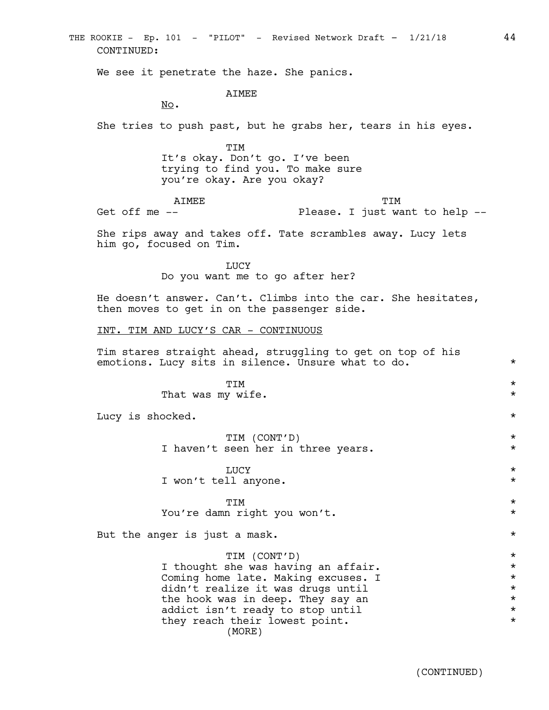We see it penetrate the haze. She panics. AIMEE No. She tries to push past, but he grabs her, tears in his eyes. TIM It's okay. Don't go. I've been trying to find you. To make sure you're okay. Are you okay? AIMEE Get off me -- TIM Please. I just want to help -- She rips away and takes off. Tate scrambles away. Lucy lets him go, focused on Tim. LUCY Do you want me to go after her? He doesn't answer. Can't. Climbs into the car. She hesitates, then moves to get in on the passenger side. INT. TIM AND LUCY'S CAR - CONTINUOUS Tim stares straight ahead, struggling to get on top of his emotions. Lucy sits in silence. Unsure what to do.  $*$ TIM \* That was my wife.  $\star$ Lucy is shocked.  $\star$ TIM (CONT'D) \* I haven't seen her in three years. LUCY  $\star$ I won't tell anyone.  $\star$ TIM \* You're damn right you won't. \* But the anger is just a mask.  $\star$ TIM (CONT'D) \* I thought she was having an affair.<br>Coming home late. Making excuses. I Coming home late. Making excuses. I<br>
didn't realize it was drugs until didn't realize it was drugs until  $\star$ <br>the hook was in deep. They say an the hook was in deep. They say an  $\star$ <br>addict isn't ready to stop until addict isn't ready to stop until<br>they reach their lowest point. they reach their lowest point. THE ROOKIE - Ep. 101 - "PILOT" - Revised Network Draft - 1/21/18 44 CONTINUED: (MORE)

(CONTINUED)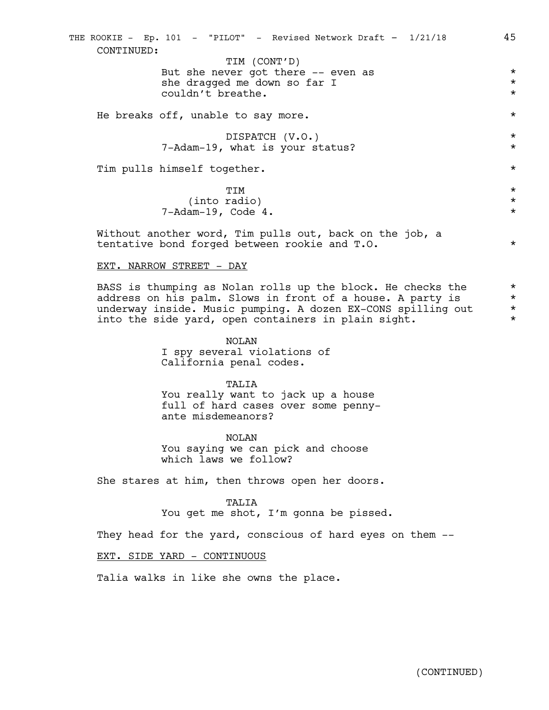But she never got there -- even as  $*$ she dragged me down so far I \* couldn't breathe. He breaks off, unable to say more.  $*$ DISPATCH (V.O.) \* 7-Adam-19, what is your status? \* Tim pulls himself together. \* TIM \* (into radio) \* 7-Adam-19, Code 4. \* Without another word, Tim pulls out, back on the job, a tentative bond forged between rookie and T.O. \* THE ROOKIE - Ep. 101 - "PILOT" - Revised Network Draft - 1/21/18 45 CONTINUED: TIM (CONT'D)

EXT. NARROW STREET - DAY

BASS is thumping as Nolan rolls up the block. He checks the  $*$ address on his palm. Slows in front of a house. A party is  $*$ underway inside. Music pumping. A dozen EX-CONS spilling out  $*$ into the side yard, open containers in plain sight.  $*$ 

> NOLAN I spy several violations of California penal codes.

TALIA You really want to jack up a house full of hard cases over some pennyante misdemeanors?

NOLAN You saying we can pick and choose which laws we follow?

She stares at him, then throws open her doors.

TALIA You get me shot, I'm gonna be pissed.

They head for the yard, conscious of hard eyes on them --

EXT. SIDE YARD - CONTINUOUS

Talia walks in like she owns the place.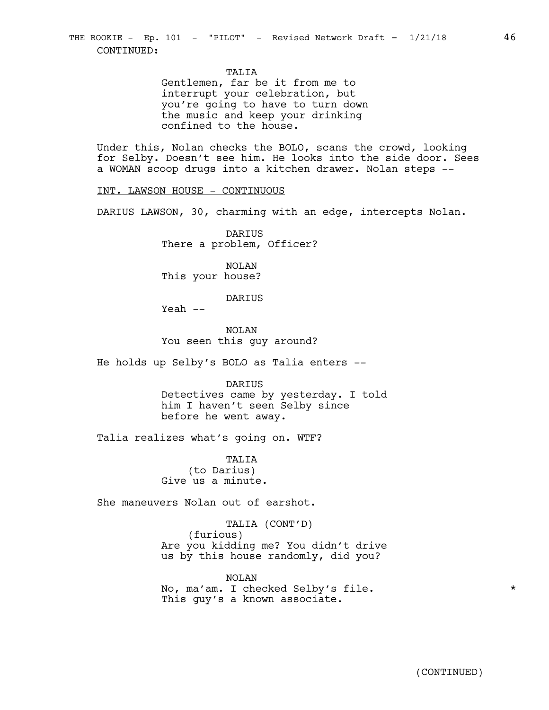TALIA

Gentlemen, far be it from me to interrupt your celebration, but you're going to have to turn down the music and keep your drinking confined to the house.

Under this, Nolan checks the BOLO, scans the crowd, looking for Selby. Doesn't see him. He looks into the side door. Sees a WOMAN scoop drugs into a kitchen drawer. Nolan steps --

INT. LAWSON HOUSE - CONTINUOUS

DARIUS LAWSON, 30, charming with an edge, intercepts Nolan.

DARIUS There a problem, Officer?

NOLAN This your house?

DARIUS

 $Yeah$   $--$ 

NOLAN You seen this guy around?

He holds up Selby's BOLO as Talia enters --

DARIUS

Detectives came by yesterday. I told him I haven't seen Selby since before he went away.

Talia realizes what's going on. WTF?

TALIA (to Darius) Give us a minute.

She maneuvers Nolan out of earshot.

TALIA (CONT'D) (furious) Are you kidding me? You didn't drive us by this house randomly, did you?

NOLAN No, ma'am. I checked Selby's file. \* This guy's a known associate.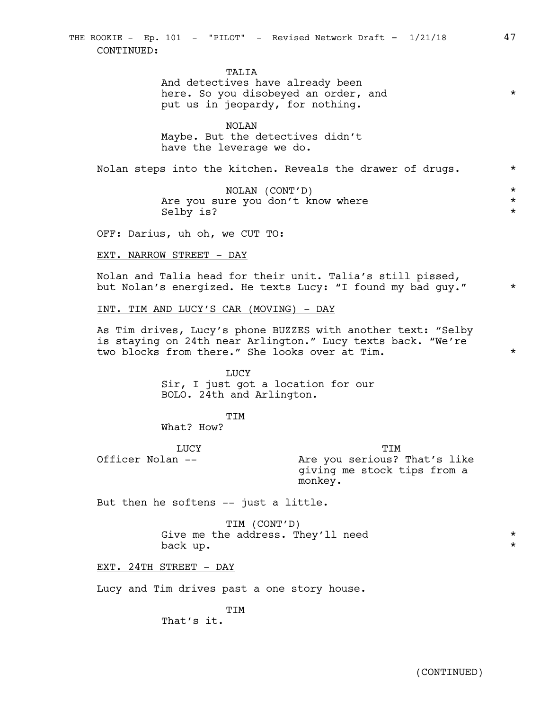TALIA

And detectives have already been here. So you disobeyed an order, and  $*$ put us in jeopardy, for nothing.

NOLAN Maybe. But the detectives didn't have the leverage we do.

Nolan steps into the kitchen. Reveals the drawer of drugs.  $*$ 

NOLAN (CONT'D) \* Are you sure you don't know where  $\star$ <br>Selby is? Selby is?

OFF: Darius, uh oh, we CUT TO:

EXT. NARROW STREET - DAY

Nolan and Talia head for their unit. Talia's still pissed, but Nolan's energized. He texts Lucy: "I found my bad guy." \*

INT. TIM AND LUCY'S CAR (MOVING) - DAY

As Tim drives, Lucy's phone BUZZES with another text: "Selby is staying on 24th near Arlington." Lucy texts back. "We're two blocks from there." She looks over at Tim. \*

> **LUCY** Sir, I just got a location for our BOLO. 24th and Arlington.

> > **TTM**

What? How?

LUCY

TIM Are you serious? That's like giving me stock tips from a monkey.

But then he softens -- just a little.

TIM (CONT'D) Give me the address. They'll need  $*$ back up.  $\star$ 

EXT. 24TH STREET - DAY

Officer Nolan --

Lucy and Tim drives past a one story house.

TIM That's it.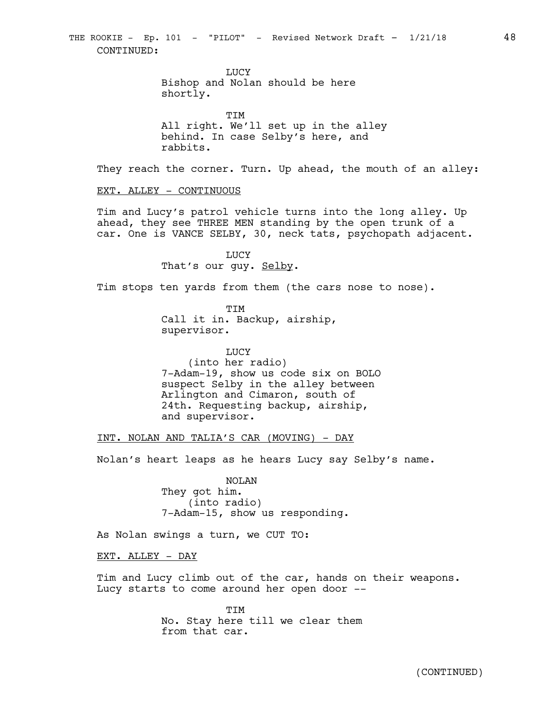**TJUCY** 

Bishop and Nolan should be here shortly.

TIM All right. We'll set up in the alley behind. In case Selby's here, and rabbits.

They reach the corner. Turn. Up ahead, the mouth of an alley:

#### EXT. ALLEY - CONTINUOUS

Tim and Lucy's patrol vehicle turns into the long alley. Up ahead, they see THREE MEN standing by the open trunk of a car. One is VANCE SELBY, 30, neck tats, psychopath adjacent.

> LUCY That's our guy. Selby.

Tim stops ten yards from them (the cars nose to nose).

TIM Call it in. Backup, airship, supervisor.

LUCY (into her radio) 7-Adam-19, show us code six on BOLO suspect Selby in the alley between Arlington and Cimaron, south of 24th. Requesting backup, airship, and supervisor.

INT. NOLAN AND TALIA'S CAR (MOVING) - DAY

Nolan's heart leaps as he hears Lucy say Selby's name.

NOLAN They got him. (into radio) 7-Adam-15, show us responding.

As Nolan swings a turn, we CUT TO:

EXT. ALLEY - DAY

Tim and Lucy climb out of the car, hands on their weapons. Lucy starts to come around her open door --

> TIM No. Stay here till we clear them from that car.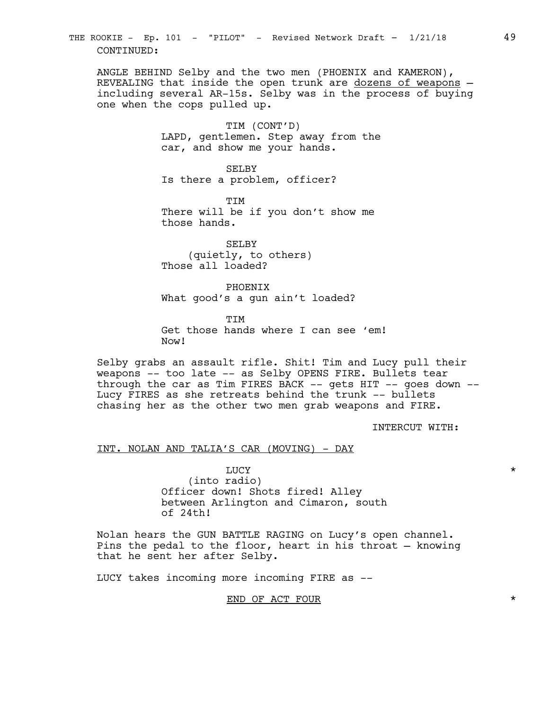THE ROOKIE - Ep. 101 - "PILOT" - Revised Network Draft - 1/21/18 49 CONTINUED:

ANGLE BEHIND Selby and the two men (PHOENIX and KAMERON), REVEALING that inside the open trunk are dozens of weapons including several AR-15s. Selby was in the process of buying one when the cops pulled up.

> TIM (CONT'D) LAPD, gentlemen. Step away from the car, and show me your hands.

SELBY Is there a problem, officer?

TIM There will be if you don't show me those hands.

SELBY (quietly, to others) Those all loaded?

PHOENIX What good's a gun ain't loaded?

**TTM** Get those hands where I can see 'em! Now!

Selby grabs an assault rifle. Shit! Tim and Lucy pull their weapons -- too late -- as Selby OPENS FIRE. Bullets tear through the car as Tim FIRES BACK  $--$  gets HIT  $--$  goes down  $--$ Lucy FIRES as she retreats behind the trunk -- bullets chasing her as the other two men grab weapons and FIRE.

INTERCUT WITH:

#### INT. NOLAN AND TALIA'S CAR (MOVING) - DAY

LUCY  $\star$ (into radio) Officer down! Shots fired! Alley between Arlington and Cimaron, south of 24th!

Nolan hears the GUN BATTLE RAGING on Lucy's open channel. Pins the pedal to the floor, heart in his throat — knowing that he sent her after Selby.

LUCY takes incoming more incoming FIRE as --

END OF ACT FOUR \*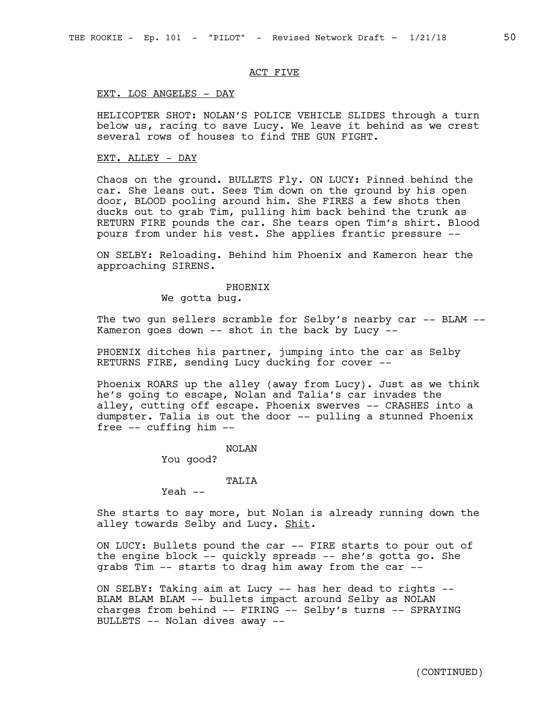# ACT FIVE

#### EXT. LOS ANGELES - DAY

HELICOPTER SHOT: NOLAN'S POLICE VEHICLE SLIDES through a turn below us, racing to save Lucy. We leave it behind as we crest several rows of houses to find THE GUN FIGHT.

#### EXT. ALLEY - DAY

Chaos on the ground. BULLETS Fly. ON LUCY: Pinned behind the car. She leans out. Sees Tim down on the ground by his open door, BLOOD pooling around him. She FIRES a few shots then ducks out to grab Tim, pulling him back behind the trunk as RETURN FIRE pounds the car. She tears open Tim's shirt. Blood pours from under his vest. She applies frantic pressure --

ON SELBY: Reloading. Behind him Phoenix and Kameron hear the approaching SIRENS.

#### PHOENIX

We gotta bug.

The two gun sellers scramble for Selby's nearby car -- BLAM -- Kameron goes down -- shot in the back by Lucy --

PHOENIX ditches his partner, jumping into the car as Selby RETURNS FIRE, sending Lucy ducking for cover --

Phoenix ROARS up the alley (away from Lucy). Just as we think he's going to escape, Nolan and Talia's car invades the alley, cutting off escape. Phoenix swerves -- CRASHES into a dumpster. Talia is out the door -- pulling a stunned Phoenix free -- cuffing him --

#### NOLAN

You good?

#### **TALIA**

 $Yeah$   $--$ 

She starts to say more, but Nolan is already running down the alley towards Selby and Lucy. Shit.

ON LUCY: Bullets pound the car -- FIRE starts to pour out of the engine block -- quickly spreads -- she's gotta go. She grabs Tim -- starts to drag him away from the car --

ON SELBY: Taking aim at Lucy -- has her dead to rights -- BLAM BLAM BLAM -- bullets impact around Selby as NOLAN charges from behind -- FIRING -- Selby's turns -- SPRAYING BULLETS -- Nolan dives away --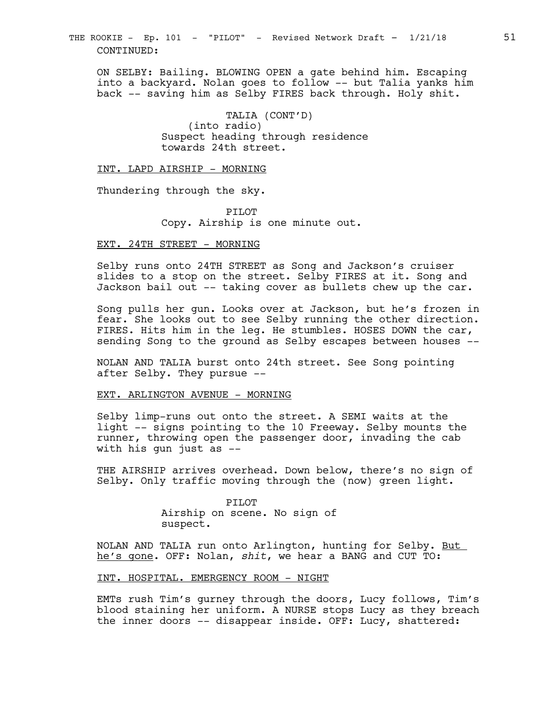THE ROOKIE - Ep. 101 - "PILOT" - Revised Network Draft - 1/21/18 51 CONTINUED:

ON SELBY: Bailing. BLOWING OPEN a gate behind him. Escaping into a backyard. Nolan goes to follow -- but Talia yanks him back -- saving him as Selby FIRES back through. Holy shit.

> TALIA (CONT'D) (into radio) Suspect heading through residence towards 24th street.

INT. LAPD AIRSHIP - MORNING

Thundering through the sky.

PILOT Copy. Airship is one minute out.

#### EXT. 24TH STREET - MORNING

Selby runs onto 24TH STREET as Song and Jackson's cruiser slides to a stop on the street. Selby FIRES at it. Song and Jackson bail out -- taking cover as bullets chew up the car.

Song pulls her gun. Looks over at Jackson, but he's frozen in fear. She looks out to see Selby running the other direction. FIRES. Hits him in the leg. He stumbles. HOSES DOWN the car, sending Song to the ground as Selby escapes between houses --

NOLAN AND TALIA burst onto 24th street. See Song pointing after Selby. They pursue --

## EXT. ARLINGTON AVENUE - MORNING

Selby limp-runs out onto the street. A SEMI waits at the light -- signs pointing to the 10 Freeway. Selby mounts the runner, throwing open the passenger door, invading the cab with his gun just as --

THE AIRSHIP arrives overhead. Down below, there's no sign of Selby. Only traffic moving through the (now) green light.

#### PILOT

Airship on scene. No sign of suspect.

NOLAN AND TALIA run onto Arlington, hunting for Selby. But he's gone. OFF: Nolan, *shit*, we hear a BANG and CUT TO:

#### INT. HOSPITAL. EMERGENCY ROOM - NIGHT

EMTs rush Tim's gurney through the doors, Lucy follows, Tim's blood staining her uniform. A NURSE stops Lucy as they breach the inner doors -- disappear inside. OFF: Lucy, shattered: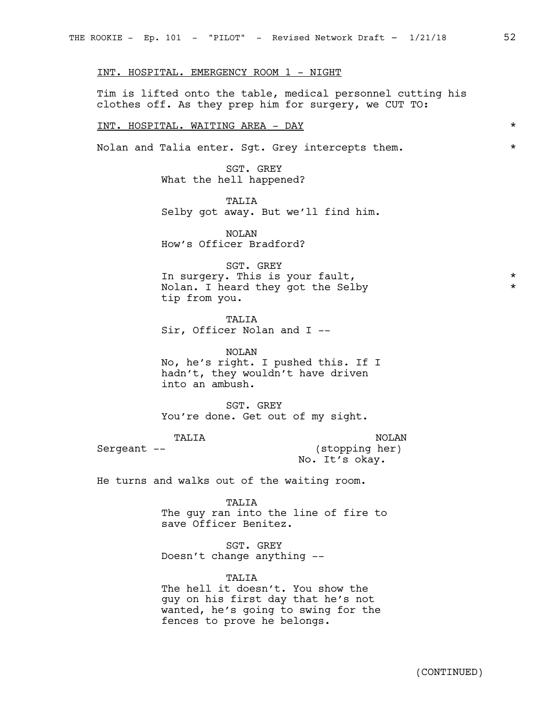INT. HOSPITAL. EMERGENCY ROOM 1 - NIGHT

Tim is lifted onto the table, medical personnel cutting his clothes off. As they prep him for surgery, we CUT TO:

INT. HOSPITAL. WAITING AREA - DAY \*

Nolan and Talia enter. Sgt. Grey intercepts them.  $*$ 

SGT. GREY What the hell happened?

TALIA Selby got away. But we'll find him.

NOLAN How's Officer Bradford?

SGT. GREY In surgery. This is your fault, \* Nolan. I heard they got the Selby  $*$ tip from you.

TALIA Sir, Officer Nolan and I --

NOLAN No, he's right. I pushed this. If I hadn't, they wouldn't have driven into an ambush.

SGT. GREY You're done. Get out of my sight.

TALIA \* Sergeant -- \* (stopping her) NOLAN No. It's okay.

He turns and walks out of the waiting room.

TALIA

The guy ran into the line of fire to save Officer Benitez.

SGT. GREY Doesn't change anything --

#### TALIA

The hell it doesn't. You show the guy on his first day that he's not wanted, he's going to swing for the fences to prove he belongs.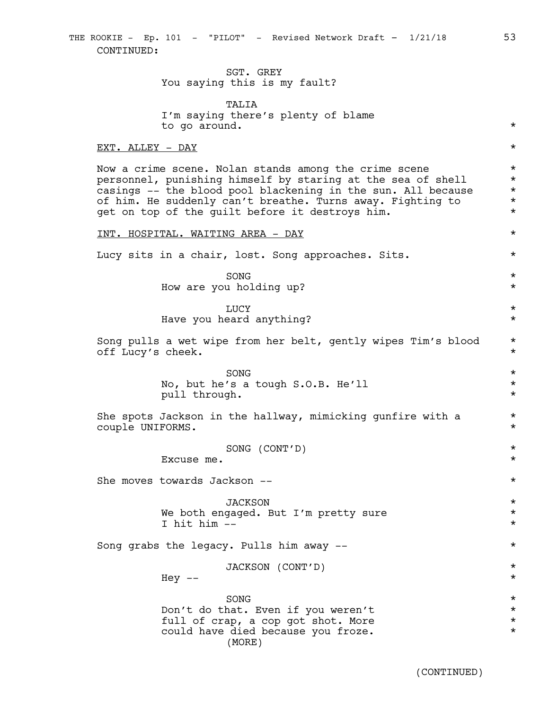# SGT. GREY You saying this is my fault?

TALIA I'm saying there's plenty of blame to go around. \*

#### EXT. ALLEY - DAY \*

Now a crime scene. Nolan stands among the crime scene \* personnel, punishing himself by staring at the sea of shell  $*$ casings -- the blood pool blackening in the sun. All because \* of him. He suddenly can't breathe. Turns away. Fighting to  $*$ <br>get on top of the quilt before it destroys him. get on top of the guilt before it destroys him.

#### INT. HOSPITAL. WAITING AREA - DAY \*

Lucy sits in a chair, lost. Song approaches. Sits.  $*$ 

 $SONG$   $\star$ How are you holding up?  $\star$ 

# LUCY  $\star$ Have you heard anything? \*

Song pulls a wet wipe from her belt, gently wipes Tim's blood \* off Lucy's cheek. \*

> $SONG$   $\star$ No, but he's a tough S.O.B. He'll  $*$ pull through.  $\star$

She spots Jackson in the hallway, mimicking gunfire with a  $*$ couple UNIFORMS. \*

SONG (CONT'D) \*

Excuse me.  $\star$ 

She moves towards Jackson --  $\ast$ 

JACKSON \* We both engaged. But I'm pretty sure \*\* I hit him --  $\star$ 

Song grabs the legacy. Pulls him away --  $*$ 

JACKSON (CONT'D) \*

 $\text{Hey}$  --  $\text{*}$ 

| SONG                               | $\star$ |
|------------------------------------|---------|
| Don't do that. Even if you weren't | $\star$ |
| full of crap, a cop got shot. More | $\star$ |
| could have died because you froze. | $\star$ |
| (MORE)                             |         |

(CONTINUED)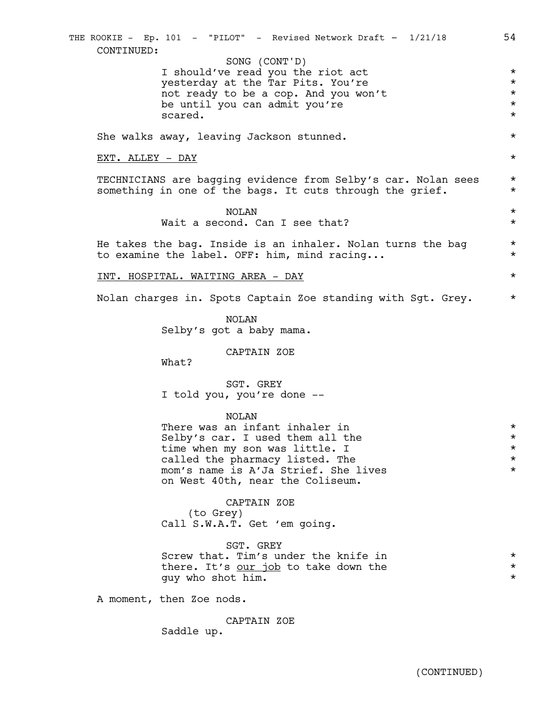|  | CONTINUED:              | THE ROOKIE - Ep. 101 - "PILOT" - Revised Network Draft - 1/21/18                                                          | 54                   |
|--|-------------------------|---------------------------------------------------------------------------------------------------------------------------|----------------------|
|  |                         | SONG (CONT'D)                                                                                                             |                      |
|  |                         | I should've read you the riot act                                                                                         | $^\star$             |
|  |                         | yesterday at the Tar Pits. You're                                                                                         | $^\star$             |
|  |                         | not ready to be a cop. And you won't                                                                                      | $^\star$             |
|  |                         | be until you can admit you're                                                                                             | $^\star$             |
|  |                         | scared.                                                                                                                   | $^\star$             |
|  |                         | She walks away, leaving Jackson stunned.                                                                                  | $^\star$             |
|  | <u>EXT. ALLEY - DAY</u> |                                                                                                                           | $^\star$             |
|  |                         | TECHNICIANS are bagging evidence from Selby's car. Nolan sees<br>something in one of the bags. It cuts through the grief. | $^\star$<br>$^\star$ |
|  |                         | NOLAN<br>Wait a second. Can I see that?                                                                                   | $^\star$<br>$^\star$ |
|  |                         | He takes the bag. Inside is an inhaler. Nolan turns the bag<br>to examine the label. OFF: him, mind racing                | $^\star$<br>$^\star$ |
|  |                         | <u>INT. HOSPITAL. WAITING AREA - DAY</u>                                                                                  | $^\star$             |
|  |                         | Nolan charges in. Spots Captain Zoe standing with Sgt. Grey.                                                              | $^\star$             |
|  |                         | NOLAN<br>Selby's got a baby mama.                                                                                         |                      |
|  |                         | CAPTAIN ZOE<br>What?                                                                                                      |                      |
|  |                         | SGT. GREY                                                                                                                 |                      |
|  |                         | I told you, you're done --                                                                                                |                      |
|  |                         | <b>NOLAN</b>                                                                                                              |                      |
|  |                         | There was an infant inhaler in                                                                                            | $^\star$             |
|  |                         | Selby's car. I used them all the                                                                                          | $^\star$             |
|  |                         | time when my son was little. I                                                                                            | $^\star$             |
|  |                         | called the pharmacy listed. The                                                                                           | $^\star$             |
|  |                         | mom's name is A'Ja Strief. She lives                                                                                      | $^\star$             |
|  |                         | on West 40th, near the Coliseum.                                                                                          |                      |
|  |                         | CAPTAIN ZOE                                                                                                               |                      |
|  |                         | (to Grey)                                                                                                                 |                      |
|  |                         | Call S.W.A.T. Get 'em going.                                                                                              |                      |
|  |                         | SGT. GREY                                                                                                                 |                      |
|  |                         | Screw that. Tim's under the knife in                                                                                      | $^\star$             |
|  |                         | there. It's our job to take down the                                                                                      | $^\star$             |
|  |                         | guy who shot him.                                                                                                         | $^\star$             |
|  |                         | A moment, then Zoe nods.                                                                                                  |                      |
|  |                         | CAPTAIN ZOE                                                                                                               |                      |
|  |                         | Saddle up.                                                                                                                |                      |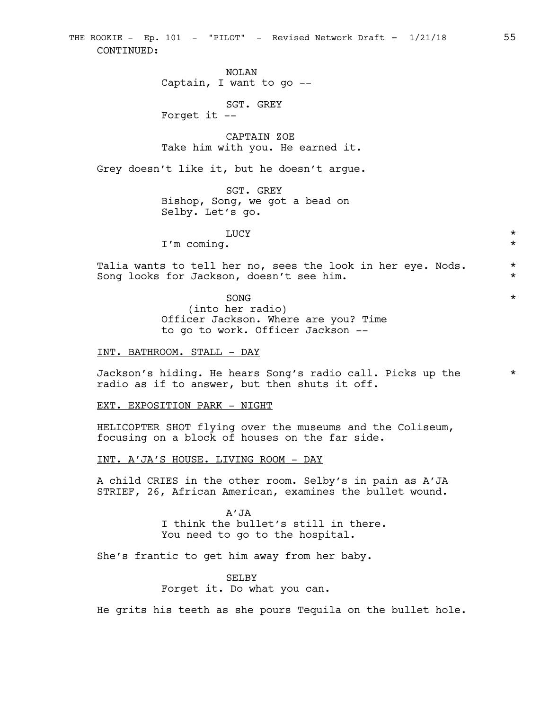THE ROOKIE - Ep. 101 - "PILOT" - Revised Network Draft - 1/21/18 55 CONTINUED:

> NOLAN Captain, I want to go --

> > SGT. GREY

Forget it --

CAPTAIN ZOE Take him with you. He earned it.

Grey doesn't like it, but he doesn't argue.

SGT. GREY Bishop, Song, we got a bead on Selby. Let's go.

LUCY  $\star$ 

I'm coming. \*

Talia wants to tell her no, sees the look in her eye. Nods. \* Song looks for Jackson, doesn't see him. \*

> $SONG$   $\star$ (into her radio) Officer Jackson. Where are you? Time to go to work. Officer Jackson --

INT. BATHROOM. STALL - DAY

Jackson's hiding. He hears Song's radio call. Picks up the \* radio as if to answer, but then shuts it off.

EXT. EXPOSITION PARK - NIGHT

HELICOPTER SHOT flying over the museums and the Coliseum, focusing on a block of houses on the far side.

INT. A'JA'S HOUSE. LIVING ROOM - DAY

A child CRIES in the other room. Selby's in pain as A'JA STRIEF, 26, African American, examines the bullet wound.

> A'JA I think the bullet's still in there. You need to go to the hospital.

She's frantic to get him away from her baby.

SELBY Forget it. Do what you can.

He grits his teeth as she pours Tequila on the bullet hole.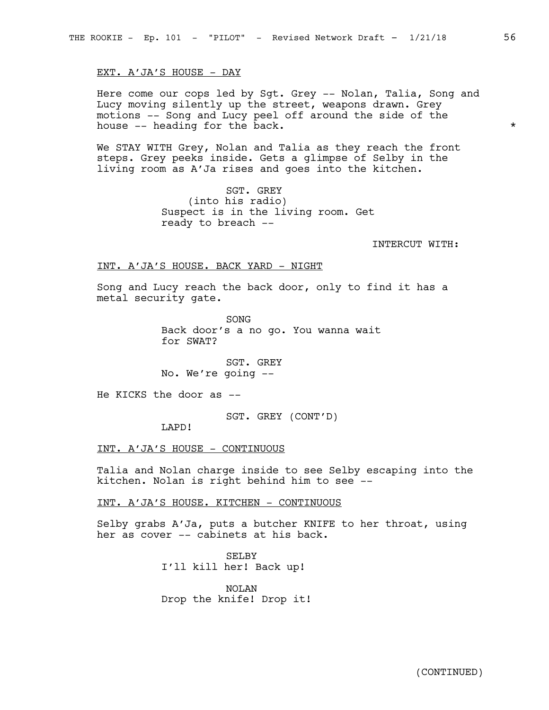EXT. A'JA'S HOUSE - DAY

Here come our cops led by Sgt. Grey -- Nolan, Talia, Song and Lucy moving silently up the street, weapons drawn. Grey motions -- Song and Lucy peel off around the side of the house -- heading for the back.  $\star$ 

We STAY WITH Grey, Nolan and Talia as they reach the front steps. Grey peeks inside. Gets a glimpse of Selby in the living room as A'Ja rises and goes into the kitchen.

> SGT. GREY (into his radio) Suspect is in the living room. Get ready to breach --

> > INTERCUT WITH:

#### INT. A'JA'S HOUSE. BACK YARD - NIGHT

Song and Lucy reach the back door, only to find it has a metal security gate.

> SONG Back door's a no go. You wanna wait for SWAT?

SGT. GREY No. We're going --

He KICKS the door as --

SGT. GREY (CONT'D)

LAPD!

INT. A'JA'S HOUSE - CONTINUOUS

Talia and Nolan charge inside to see Selby escaping into the kitchen. Nolan is right behind him to see --

INT. A'JA'S HOUSE. KITCHEN - CONTINUOUS

Selby grabs A'Ja, puts a butcher KNIFE to her throat, using her as cover -- cabinets at his back.

> SELBY I'll kill her! Back up!

NOLAN Drop the knife! Drop it!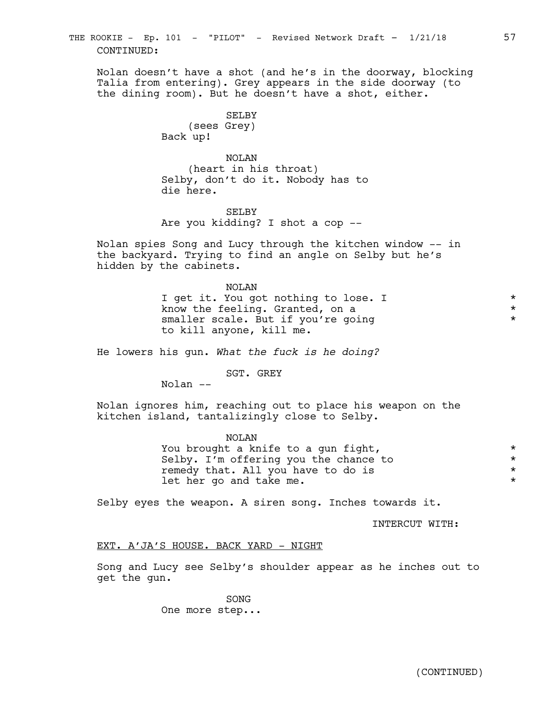Nolan doesn't have a shot (and he's in the doorway, blocking Talia from entering). Grey appears in the side doorway (to the dining room). But he doesn't have a shot, either.

> SELBY (sees Grey) Back up!

NOLAN (heart in his throat) Selby, don't do it. Nobody has to die here.

SELBY Are you kidding? I shot a cop --

Nolan spies Song and Lucy through the kitchen window -- in the backyard. Trying to find an angle on Selby but he's hidden by the cabinets.

> NOLAN I get it. You got nothing to lose. I  $*$ know the feeling. Granted, on a  $*$ smaller scale. But if you're going  $*$ to kill anyone, kill me.

He lowers his gun. *What the fuck is he doing?*

SGT. GREY

Nolan --

Nolan ignores him, reaching out to place his weapon on the kitchen island, tantalizingly close to Selby.

> NOLAN You brought a knife to a gun fight,  $*$ Selby. I'm offering you the chance to  $*$ <br>remedy that, All you have to do is remedy that. All you have to do is \* let her go and take me.  $\star$

Selby eyes the weapon. A siren song. Inches towards it.

INTERCUT WITH:

# EXT. A'JA'S HOUSE. BACK YARD - NIGHT

Song and Lucy see Selby's shoulder appear as he inches out to get the gun.

> SONG One more step...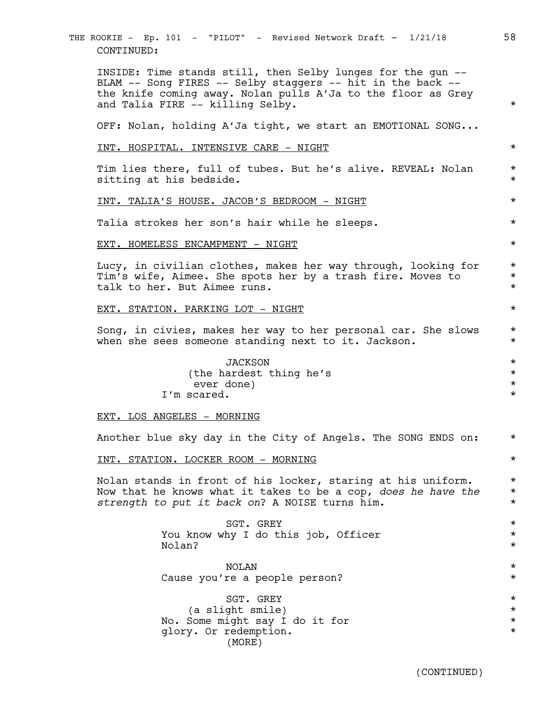INSIDE: Time stands still, then Selby lunges for the gun -- BLAM -- Song FIRES -- Selby staggers -- hit in the back - the knife coming away. Nolan pulls A'Ja to the floor as Grey and Talia FIRE -- killing Selby. \* OFF: Nolan, holding A'Ja tight, we start an EMOTIONAL SONG... INT. HOSPITAL. INTENSIVE CARE - NIGHT \* Tim lies there, full of tubes. But he's alive. REVEAL: Nolan \* sitting at his bedside.  $\star$ INT. TALIA'S HOUSE. JACOB'S BEDROOM - NIGHT \* Talia strokes her son's hair while he sleeps. \* EXT. HOMELESS ENCAMPMENT - NIGHT \* Lucy, in civilian clothes, makes her way through, looking for \* Tim's wife, Aimee. She spots her by a trash fire. Moves to  $*$ talk to her. But Aimee runs. \* EXT. STATION. PARKING LOT - NIGHT  $\star$ Song, in civies, makes her way to her personal car. She slows \* when she sees someone standing next to it. Jackson.  $*$ JACKSON \* (the hardest thing he's  $\star$ ever done) \* I'm scared. \* EXT. LOS ANGELES - MORNING Another blue sky day in the City of Angels. The SONG ENDS on: \* INT. STATION. LOCKER ROOM - MORNING  $*$ Nolan stands in front of his locker, staring at his uniform.  $*$ Now that he knows what it takes to be a cop, *does he have the* \* *strength to put it back on*? A NOISE turns him. \* SGT. GREY  $\star$ You know why I do this job, Officer  $*$ Nolan? \* NOLAN \* Cause you're a people person? \* SGT. GREY  $\star$ (a slight smile) \* No. Some might say I do it for  $*$ glory. Or redemption. \* THE ROOKIE - Ep. 101 - "PILOT" - Revised Network Draft - 1/21/18 58 CONTINUED:

(MORE)

(CONTINUED)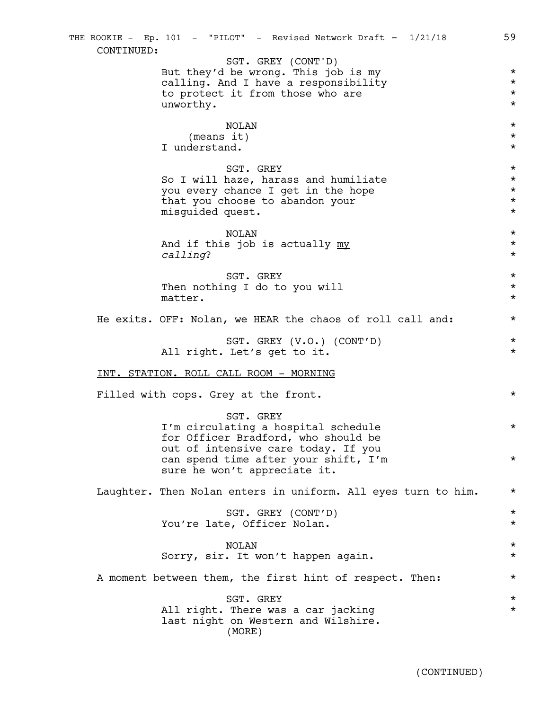But they'd be wrong. This job is my  $*$ calling. And I have a responsibility  $\star$ <br>to protect it from those who are  $\star$ to protect it from those who are unworthy. \* NOLAN \* (means it)  $\star$ I understand.  $\star$  $SGT$ . GREY  $\star$ So I will haze, harass and humiliate  $*$ you every chance I get in the hope  $*$ that you choose to abandon your \* misguided quest. \* NOLAN \* And if this job is actually  $\frac{my}{m}$   $*$ *calling*? \* SGT. GREY  $\star$ Then nothing I do to you will  $\star$ matter.  $\star$ He exits. OFF: Nolan, we HEAR the chaos of roll call and:  $*$ SGT. GREY (V.O.) (CONT'D) \* All right. Let's get to it.  $\star$ INT. STATION. ROLL CALL ROOM - MORNING Filled with cops. Grey at the front.  $\star$ SGT. GREY I'm circulating a hospital schedule \* for Officer Bradford, who should be out of intensive care today. If you can spend time after your shift, I'm  $*$ sure he won't appreciate it. Laughter. Then Nolan enters in uniform. All eyes turn to him.  $*$ SGT. GREY (CONT'D) \* You're late, Officer Nolan.  $\star$ NOLAN \* Sorry, sir. It won't happen again.  $*$ A moment between them, the first hint of respect. Then: \* SGT. GREY  $\star$ All right. There was a car jacking  $*$ last night on Western and Wilshire. THE ROOKIE - Ep. 101 - "PILOT" - Revised Network Draft - 1/21/18 59 CONTINUED: SGT. GREY (CONT'D) (MORE)